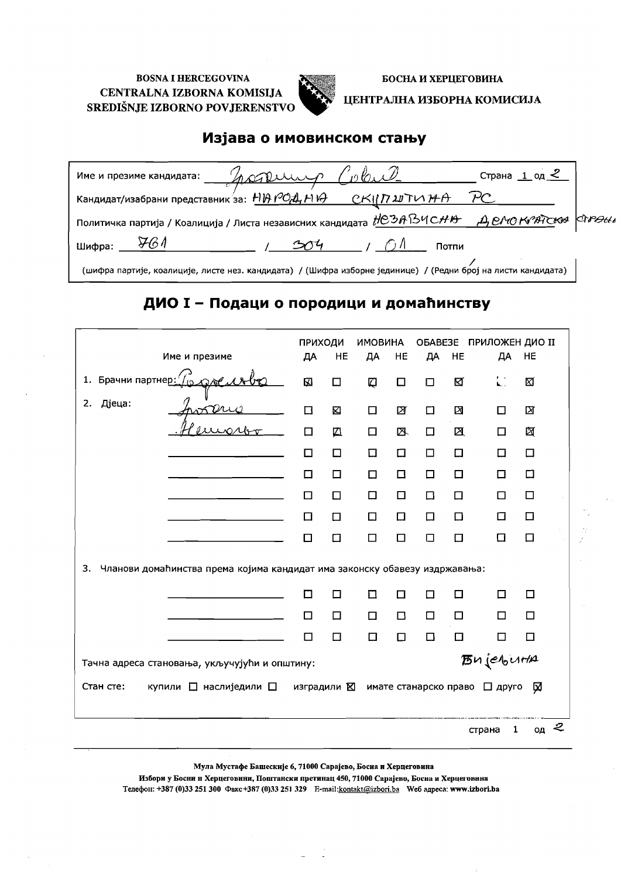

БОСНА И ХЕРЦЕГОВИНА ЦЕНТРАЛНА ИЗБОРНА КОМИСИЈА

### Изјава о имовинском стању

| nordering (<br>Име и презиме кандидата:                                                                       | Страна $1$ од $\leq$ |  |
|---------------------------------------------------------------------------------------------------------------|----------------------|--|
| Кандидат/изабрани представник за: НИ РОД, НИ $\theta$ СКII П 2J ТИ НА                                         |                      |  |
| Политичка партија / Коалиција / Листа независних кандидата НСЗАВЧСНВ ДЕЛОКЛЕТСКА СТАНИ                        |                      |  |
| Шифра:                                                                                                        | Потпи                |  |
| (шифра партије, коалиције, листе нез. кандидата) / (Шифра изборне јединице) / (Редни број на листи кандидата) |                      |  |

## ДИО I - Подаци о породици и домаћинству

|                                                                                  | <b>ПРИХОДИ</b> |        | <b>ИМОВИНА</b> |        |        |    | ОБАВЕЗЕ ПРИЛОЖЕН ДИО II         |         |
|----------------------------------------------------------------------------------|----------------|--------|----------------|--------|--------|----|---------------------------------|---------|
| Име и презиме                                                                    | ДА             | HE     | ДА             | HE     | ДА     | HE | ДА                              | HE      |
|                                                                                  | 囚              | $\Box$ | Q              | $\Box$ | О      | K  | 层                               | ⊠       |
| Дјеца:<br>2.                                                                     | $\Box$         | 囟      | $\Box$         | 図      | □      | X  | $\Box$                          | 囟       |
|                                                                                  | □              | 囚      | $\Box$         | 区      | 口      | ⊠  | □                               | 囟       |
|                                                                                  | □              | $\Box$ | 口              | $\Box$ | 口      | 口  | □                               | $\Box$  |
|                                                                                  | □              | □      | $\Box$         | 口      | $\Box$ | □  | □                               | □       |
|                                                                                  | П              | $\Box$ | □              | 口      | $\Box$ | □  | П                               | □       |
|                                                                                  | □              | □      | □              | 口      | $\Box$ | ◻  | □                               | □       |
|                                                                                  | □              | 口      | □              | □      | О      | □  | ⊡                               | □       |
| 3.<br>Чланови домаћинства према којима кандидат има законску обавезу издржавања: |                |        |                |        |        |    |                                 |         |
|                                                                                  | □              | $\Box$ | П              | □      | □      | □  | $\Box$                          | □       |
|                                                                                  | □              | $\Box$ | $\Box$         | $\Box$ | $\Box$ | □  | П                               | □       |
|                                                                                  | □              | 口      | □              | □      | □      | □  | □                               | 口       |
| Тачна адреса становања, укључујући и општину:                                    |                |        |                |        |        |    | <b>B</b> ujeburta               |         |
| Стан сте:<br>купили П наслиједили П                                              | изградили ⊠    |        |                |        |        |    | имате станарско право □ друго ⊠ |         |
|                                                                                  |                |        |                |        |        |    | 1<br>страна                     | 2<br>ОД |

Мула Мустафе Башескије 6, 71000 Сарајево, Босиа и Херцеговина

Избори у Босни и Херцеговини, Поштански претинац 450, 71000 Сарајево, Босна и Херцеговнна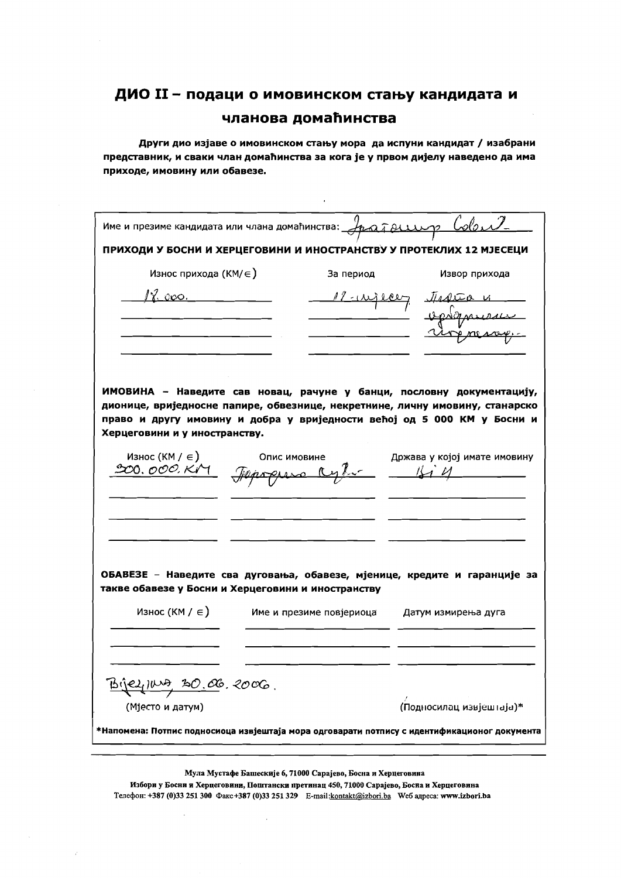Други дио изјаве о имовинском стању мора да испуни кандидат / изабрани представник, и сваки члан домаћинства за кога је у првом дијелу наведено да има приходе, имовину или обавезе.

 $\ddot{\phantom{a}}$ 

|                                           | Име и презиме кандидата или члана домаћинства: $\mathcal{A}_{\mathcal{L}}$ а $\tilde{\mathcal{A}}$ $\beta$ | Colent                                                                                                                                                  |
|-------------------------------------------|------------------------------------------------------------------------------------------------------------|---------------------------------------------------------------------------------------------------------------------------------------------------------|
|                                           |                                                                                                            | ПРИХОДИ У БОСНИ И ХЕРЦЕГОВИНИ И ИНОСТРАНСТВУ У ПРОТЕКЛИХ 12 МЈЕСЕЦИ                                                                                     |
| Износ прихода (КМ/∈)                      | За период                                                                                                  | Извор прихода                                                                                                                                           |
| $\chi$ apo.                               |                                                                                                            |                                                                                                                                                         |
|                                           |                                                                                                            |                                                                                                                                                         |
|                                           |                                                                                                            |                                                                                                                                                         |
|                                           |                                                                                                            |                                                                                                                                                         |
|                                           |                                                                                                            |                                                                                                                                                         |
|                                           |                                                                                                            | ИМОВИНА - Наведите сав новац, рачуне у банци, пословну документацију,                                                                                   |
|                                           |                                                                                                            | дионице, вриједносне папире, обвезнице, некретнине, личну имовину, станарско<br>право и другу имовину и добра у вриједности већој од 5 000 КМ у Босни и |
| Херцеговини и у иностранству.             |                                                                                                            |                                                                                                                                                         |
| Износ (КМ / $\in$ )                       | Опис имовине                                                                                               | Држава у којој имате имовину                                                                                                                            |
| 00. <i>000. Ki</i> M                      |                                                                                                            |                                                                                                                                                         |
|                                           |                                                                                                            |                                                                                                                                                         |
|                                           |                                                                                                            |                                                                                                                                                         |
|                                           |                                                                                                            |                                                                                                                                                         |
|                                           |                                                                                                            |                                                                                                                                                         |
|                                           |                                                                                                            | ОБАВЕЗЕ - Наведите сва дуговања, обавезе, мјенице, кредите и гаранције за                                                                               |
|                                           | такве обавезе у Босни и Херцеговини и иностранству                                                         |                                                                                                                                                         |
| Износ (КМ / $\in$ )                       | Име и презиме повјериоца                                                                                   | Датум измирења дуга                                                                                                                                     |
|                                           |                                                                                                            |                                                                                                                                                         |
|                                           |                                                                                                            |                                                                                                                                                         |
| <u>Bijel<sub>l</sub> IWA 30.06</u> .2006. |                                                                                                            |                                                                                                                                                         |
| (Мјесто и датум)                          |                                                                                                            | (Подносилац извјештаја)*                                                                                                                                |
|                                           |                                                                                                            | *Напомена: Потпис подносиоца извјештаја мора одговарати потпису с идентификационог документа                                                            |
|                                           |                                                                                                            |                                                                                                                                                         |

Мула Мустафе Башескије 6, 71000 Сарајево, Босна и Херцеговина

Избори у Босни и Херцеговини, Поштански претинац 450, 71000 Сарајево, Босна и Херцеговина Телефон: +387 (0)33 251 300 Факс +387 (0)33 251 329 E-mail:kontakt@izbori.ba We6 адреса: www.izbori.ba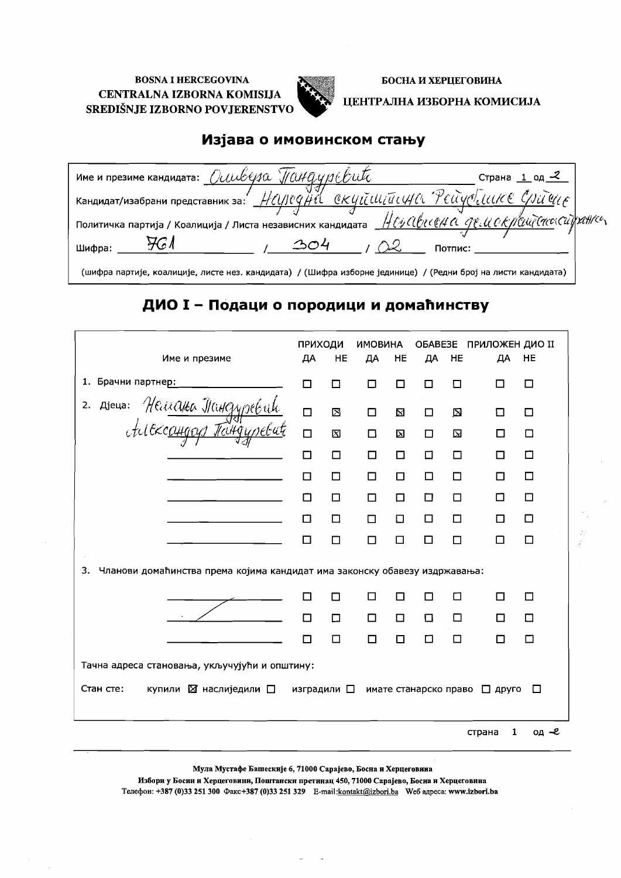

БОСНА И ХЕРЦЕГОВИНА

ЦЕНТРАЛНА ИЗБОРНА КОМИСИЈА

### Изјава о имовинском стању

| Име и презиме кандидата: $O\cup\cup\cup\cup\emptyset\$ // $O\cup\emptyset\cup\emptyset\cup\emptyset$                              | Страна $1$ од $\le$ |
|-----------------------------------------------------------------------------------------------------------------------------------|---------------------|
|                                                                                                                                   |                     |
| Политичка партија / Коалиција / Листа независних кандидата $\frac{H}{\omega}$ артиј $\alpha$ а срети о Кралијсис $\alpha$ ранисти |                     |
| Потпис:<br>Шифра:                                                                                                                 |                     |
| (шифра партије, коалиције, листе нез. кандидата) / (Шифра изборне јединице) / (Редни број на листи кандидата)                     |                     |

## ДИО I - Подаци о породици и домаћинству

|                                                                                  | ПРИХОДИ             |    | <b>ИМОВИНА</b> |             | OBABE3E               |             | ПРИЛОЖЕН ДИО II |        |
|----------------------------------------------------------------------------------|---------------------|----|----------------|-------------|-----------------------|-------------|-----------------|--------|
| Име и презиме                                                                    | ДА                  | HE | ДА             | HE          | ДА                    | HE          | ДА              | HE     |
| 1. Брачни партнер:                                                               | П                   | П  | П              | П           | □                     | □           | П               | □      |
| 2. Ajeua: Heureuka Tangypekak                                                    | $\Box$              | ⊠  | $\Box$         | $\boxtimes$ | □                     | $\boxtimes$ | ப               | □      |
|                                                                                  | $\Box$              | 冈  | $\Box$         | X           | $\Box$                | 囟           | п               | □      |
|                                                                                  | □                   | П  | □              | □           | $\Box$                | □           | □               | □      |
|                                                                                  | $\Box$              | □  | □              | □           | □                     | □           | □               | □      |
|                                                                                  | П                   | □  | П              | П           | □                     | □           | □               | □      |
|                                                                                  | п                   | □  | □              | $\Box$      | $\Box$                | □           | □               | □      |
|                                                                                  | П                   | П  | П              | □           | □                     | □           | П               | □      |
| Чланови домаћинства према којима кандидат има законску обавезу издржавања:<br>3. |                     |    |                |             |                       |             |                 |        |
|                                                                                  | П                   | П  | П              | П           | П                     | п           | П               | □      |
|                                                                                  | П                   | Π  | $\Box$         | $\Box$      | D                     | □           | □               | $\Box$ |
|                                                                                  | п                   | П  | П              | П           | П                     | □           | п               | □      |
| Тачна адреса становања, укључујући и општину:                                    |                     |    |                |             |                       |             |                 |        |
| Стан сте:<br>купили ⊠ наслиједили □                                              | изградили $\square$ |    |                |             | имате станарско право |             | $\Box$ друго    | □      |
|                                                                                  |                     |    |                |             |                       |             | 1<br>страна     | од –е  |

Мула Мустафе Башескије 6, 71000 Сарајево, Босна и Херцеговина

Избори у Босии и Херцеговини, Поштански претинац 450, 71000 Сарајево, Босиа и Херцеговина Телефон: +387 (0)33 251 300 Факс+387 (0)33 251 329 E-mail:kontakt@izbori.ba We6 адреса: www.izbori.ba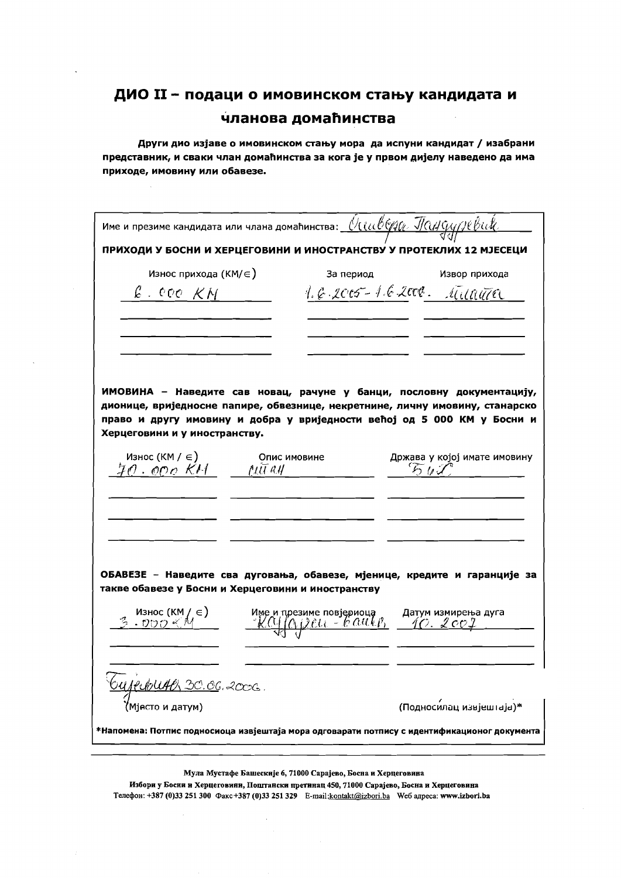Други дио изјаве о имовинском стању мора да испуни кандидат / изабрани представник, и сваки члан домаћинства за кога је у првом дијелу наведено да има приходе, имовину или обавезе.

| Име и презиме кандидата или члана домаћинства: $\frac{\partial ( \imath \omega \partial \varphi) \varphi}{\partial \varphi}$ $\frac{\partial (\imath \omega \partial \varphi)}{\partial \varphi}$ |                                                                                                      |                                                                                                                                                                                                                                  |
|---------------------------------------------------------------------------------------------------------------------------------------------------------------------------------------------------|------------------------------------------------------------------------------------------------------|----------------------------------------------------------------------------------------------------------------------------------------------------------------------------------------------------------------------------------|
| ПРИХОДИ У БОСНИ И ХЕРЦЕГОВИНИ И ИНОСТРАНСТВУ У ПРОТЕКЛИХ 12 МЈЕСЕЦИ                                                                                                                               |                                                                                                      |                                                                                                                                                                                                                                  |
| Износ прихода (КМ/∈)                                                                                                                                                                              | За период                                                                                            | Извор прихода                                                                                                                                                                                                                    |
| $\ell$ . even $\mathcal{K}M$                                                                                                                                                                      |                                                                                                      | 1.6.2005-162000. Milanta                                                                                                                                                                                                         |
|                                                                                                                                                                                                   |                                                                                                      |                                                                                                                                                                                                                                  |
| Херцеговини и у иностранству.                                                                                                                                                                     |                                                                                                      | ИМОВИНА - Наведите сав новац, рачуне у банци, пословну документацију,<br>дионице, вриједносне папире, обвезнице, некретнине, личну имовину, станарско<br>право и другу имовину и добра у вриједности већој од 5 000 КМ у Босни и |
|                                                                                                                                                                                                   | Опис имовине                                                                                         | Држава у којој имате имовину<br>561                                                                                                                                                                                              |
|                                                                                                                                                                                                   |                                                                                                      |                                                                                                                                                                                                                                  |
| такве обавезе у Босни и Херцеговини и иностранству                                                                                                                                                |                                                                                                      | ОБАВЕЗЕ - Наведите сва дуговања, обавезе, мјенице, кредите и гаранције за                                                                                                                                                        |
| — Износ (КМ / ∈)<br>3 → ひひつ ≪ M                                                                                                                                                                   | име и презиме повјериоца и датум измирења дуга<br><u>- K.CU (A j.) čttt - le G.U.ki) - 40. Lee J</u> |                                                                                                                                                                                                                                  |
| <u>OUJEUDUAO 30.06</u> .2006.<br>Miecto и датум)                                                                                                                                                  |                                                                                                      |                                                                                                                                                                                                                                  |
|                                                                                                                                                                                                   |                                                                                                      | (Подносилац извјештаја)*                                                                                                                                                                                                         |
| *Напомена: Потпис подносиоца извјештаја мора одговарати потпису с идентификационог документа                                                                                                      |                                                                                                      |                                                                                                                                                                                                                                  |
|                                                                                                                                                                                                   |                                                                                                      |                                                                                                                                                                                                                                  |

Мула Мустафе Башескије 6, 71000 Сарајево, Босна и Херцеговина

Избори у Босни и Херцеговини, Поштански претинац 450, 71000 Сарајево, Босна и Херцеговина Телефон: +387 (0)33 251 300 Факс +387 (0)33 251 329 E-mail: kontakt@izbori.ba We6 адреса: www.izbori.ba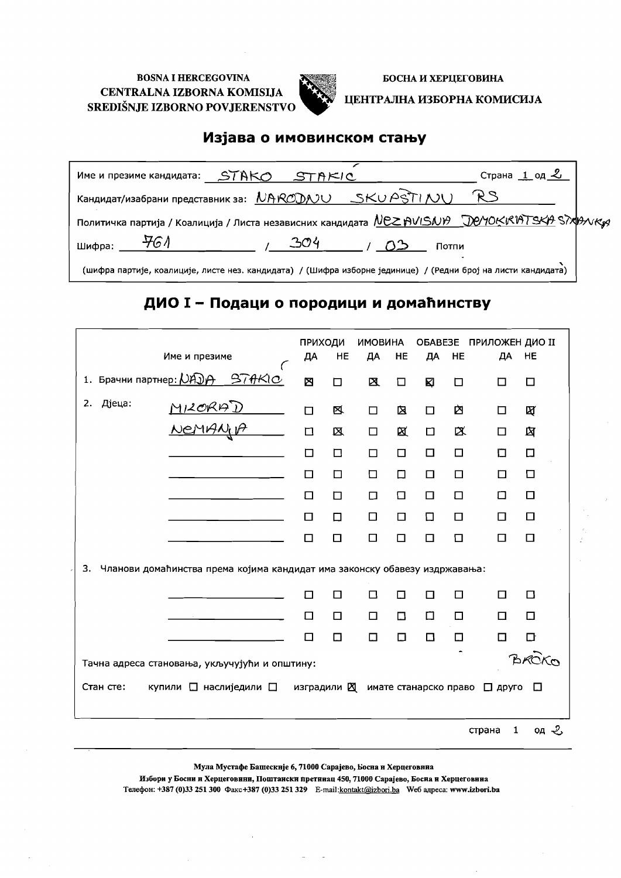

БОСНА И ХЕРЦЕГОВИНА

#### ЦЕНТРАЛНА ИЗБОРНА КОМИСИЈА

### Изјава о имовинском стању

| Име и презиме кандидата: STAKO                                                                                | STAKIC          | Страна 1 од 2 |
|---------------------------------------------------------------------------------------------------------------|-----------------|---------------|
| Кандидат/изабрани представник за: NARODAJU SKUASTIAJU                                                         |                 |               |
| Политичка партија / Коалиција / Листа независних кандидата <u>NEZ AVISNA JOMOKKATSKA</u> STXBNKg              |                 |               |
| - 461<br>Шифра:                                                                                               | $-304$<br>Потпи |               |
| (шифра партије, коалиције, листе нез. кандидата) / (Шифра изборне јединице) / (Редни број на листи кандидата) |                 |               |

### ДИО I - Подаци о породици и домаћинству

|                                               | Име и презиме             |                                                                            | ПРИХОДИ<br>ДА         | HE     | <b>ИМОВИНА</b><br>ДА | HE     | OBABE3E<br>ДА         | HE     | ПРИЛОЖЕН ДИО II<br>ДА | HE     |
|-----------------------------------------------|---------------------------|----------------------------------------------------------------------------|-----------------------|--------|----------------------|--------|-----------------------|--------|-----------------------|--------|
|                                               |                           |                                                                            |                       |        |                      |        |                       |        |                       |        |
| 1. Брачни партнер: <i>  DADA STAKIO</i>       |                           |                                                                            | Σ                     | $\Box$ | 区                    | $\Box$ | K                     | □      | □                     | □      |
| Дјеца:<br>2.                                  | <u>MIZORAD</u><br>NEMANIA |                                                                            | $\Box$                | 区      | $\Box$               | 囟      | □                     | 囟      | □                     | K      |
|                                               |                           |                                                                            | $\Box$                | 区      | $\Box$               | 区      | $\Box$                | 区      | □                     | 囟      |
|                                               |                           |                                                                            | □                     | □      | $\Box$               | $\Box$ | □                     | $\Box$ | Π                     | 口      |
|                                               |                           |                                                                            | □                     | □      | □                    | □      | □                     | $\Box$ | □                     | □      |
|                                               |                           |                                                                            | □                     | □      | $\Box$               | ⊡      | П                     | □      | ◻                     | ◻      |
|                                               |                           |                                                                            | ◻                     | □      | $\Box$               | $\Box$ | 口                     | □      | □                     | □      |
|                                               |                           |                                                                            | □                     | □      | □                    | $\Box$ | □                     | □      | □                     | □      |
| 3.                                            |                           | Чланови домаћинства према којима кандидат има законску обавезу издржавања: |                       |        |                      |        |                       |        |                       |        |
|                                               |                           |                                                                            | П                     | □      | □                    | □      | П                     | $\Box$ | $\Box$                | $\Box$ |
|                                               |                           |                                                                            | □                     | □      | $\Box$               | □      | ◻                     | □      | $\Box$                | $\Box$ |
|                                               |                           |                                                                            | □                     | □      | □                    | $\Box$ | □                     | $\Box$ | □                     | □      |
| Тачна адреса становања, укључујући и општину: |                           |                                                                            |                       |        |                      |        |                       |        |                       |        |
| Стан сте:                                     | купили □ наслиједили □    |                                                                            | изградили $\boxtimes$ |        |                      |        | имате станарско право |        | □ друго               | ⊡      |
|                                               |                           |                                                                            |                       |        |                      |        |                       |        | 1<br>страна           | 여 ዲ    |

Мула Мустафе Башескије 6, 71000 Сарајево, Босна и Херцеговина

Избори у Босни и Херцеговини, Поштански претинац 450, 71000 Сарајево, Босна и Херцеговина Телефон: +387 (0)33 251 300 Факс +387 (0)33 251 329 E-mail: kontakt@izbori.ba We6 адреса: www.izbori.ba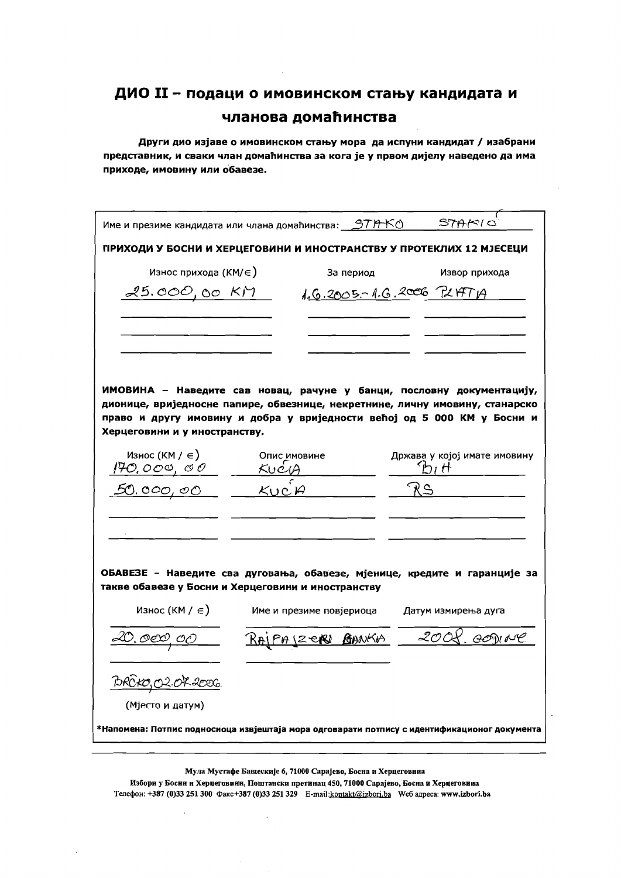Други дио изјаве о имовинском стању мора да испуни кандидат / изабрани представник, и сваки члан домаћинства за кога је у првом дијелу наведено да има приходе, имовину или обавезе.

| име и презиме кандидата или члана домаћинства: <u>971</u> -КО                                                                                                                                                                                                     |                          |                          | STAKIO                               |
|-------------------------------------------------------------------------------------------------------------------------------------------------------------------------------------------------------------------------------------------------------------------|--------------------------|--------------------------|--------------------------------------|
| ПРИХОДИ У БОСНИ И ХЕРЦЕГОВИНИ И ИНОСТРАНСТВУ У ПРОТЕКЛИХ 12 МЈЕСЕЦИ                                                                                                                                                                                               |                          |                          |                                      |
| Износ прихода (КМ/ $\in$ )                                                                                                                                                                                                                                        |                          | За период                | Извор прихода                        |
| 25.000,00 KM                                                                                                                                                                                                                                                      |                          | 1.6.2005-1.6.2006 PLATTA |                                      |
|                                                                                                                                                                                                                                                                   |                          |                          |                                      |
| ИМОВИНА - Наведите сав новац, рачуне у банци, пословну документацију,<br>дионице, вриједносне папире, обвезнице, некретнине, личну имовину, станарско<br>право и другу имовину и добра у вриједности већој од 5 000 КМ у Босни и<br>Херцеговини и у иностранству. |                          |                          |                                      |
| Износ (КМ / $\in$ )<br><u>170,000,00</u>                                                                                                                                                                                                                          | Опис имовине<br>KUCLA    |                          | Држава у којој имате имовину<br>hı H |
| 50,000,00                                                                                                                                                                                                                                                         | $K$ uc $A$               |                          |                                      |
| ОБАВЕЗЕ - Наведите сва дуговања, обавезе, мјенице, кредите и гаранције за                                                                                                                                                                                         |                          |                          |                                      |
| такве обавезе у Босни и Херцеговини и иностранству                                                                                                                                                                                                                |                          |                          |                                      |
| Износ (КМ / $\in$ )                                                                                                                                                                                                                                               | Име и презиме повјериоца |                          | Датум измирења дуга                  |
| <u>20, oex)</u> oo                                                                                                                                                                                                                                                |                          | <u>FAJZERI BANKA</u>     | 20 Or<br>. GOM NC                    |
| <u>BROKO, O.2. OF 2000.</u>                                                                                                                                                                                                                                       |                          |                          |                                      |
| (Мјесто и датум)                                                                                                                                                                                                                                                  |                          |                          |                                      |
| *Напомена: Потпис подносиоца извјештаја мора одговарати потпису с идентификационог документа                                                                                                                                                                      |                          |                          |                                      |
|                                                                                                                                                                                                                                                                   |                          |                          |                                      |

Мула Мустафе Башескије 6, 71000 Сарајево, Босна и Херцеговина

Избори у Босни и Херцеговини, Поштански претинац 450, 71000 Сарајево, Босна и Херцеговина Телефон: +387 (0)33 251 300 Факс+387 (0)33 251 329 E-mail:kontakt@izbori.ba Weб адреса: www.izbori.ba

 $\overline{a}$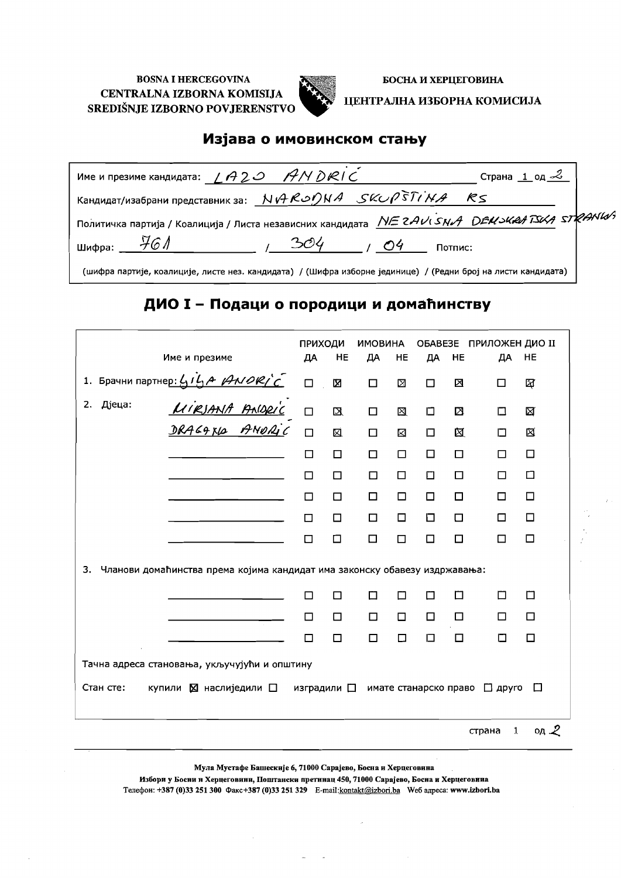

БОСНА И ХЕРЦЕГОВИНА

#### ЦЕНТРАЛНА ИЗБОРНА КОМИСИЈА

#### Изјава о имовинском стању

| Име и презиме кандидата: $\angle A20$ ANDRIC |                                                                                                                      | Страна 1 од $\mathcal{Z}$ |
|----------------------------------------------|----------------------------------------------------------------------------------------------------------------------|---------------------------|
|                                              | Кандидат/изабрани представник за: $N$ <i>A</i> $R$ $\circ$ $\circ$ $N$ A $\circ$ $S$ $\circ$ $\circ$ $\circ$ $R$ $S$ |                           |
|                                              | Политичка партија / Коалиција / Листа независних кандидата <i>INE 2AV SNA DEUSKA TSKA STRANW</i>                     |                           |
| шифра: _ $\frac{11}{100}$ /                  | 304<br>O <sub>4</sub><br>Потпис:                                                                                     |                           |
|                                              | (шифра партије, коалиције, листе нез. кандидата) / (Шифра изборне јединице) / (Редни број на листи кандидата)        |                           |

## ДИО I - Подаци о породици и домаћинству

|           |                                                                                                                                 | <b>ПРИХОДИ</b>      |              | <b>ИМОВИНА</b> |        | OBABE3E               |        | <b>ПРИЛОЖЕН ДИО II</b> |                  |
|-----------|---------------------------------------------------------------------------------------------------------------------------------|---------------------|--------------|----------------|--------|-----------------------|--------|------------------------|------------------|
|           | Име и презиме                                                                                                                   | ДА                  | HE           | ДА             | HE     | ДА                    | HE     | ДА                     | HE               |
|           | 1. Брачни партнер: $4\frac{i}{3}A$ $44\frac{36}{2}C$<br>2. Дјеца: <u><i>UIRJANA PAQRIC</i></u><br>2. Дјеца: <u>ДИРЈАНА РАФД</u> | $\Box$              | 図            | $\Box$         | Σ      | $\Box$                | 区      | П                      | ধ্রি             |
|           |                                                                                                                                 | $\Box$              | $\mathbf{Z}$ | $\Box$         | ⊠      | 口                     | ⊠      | □                      | ⊠                |
|           |                                                                                                                                 | $\Box$              | 図            | □              | ⊠      | 口                     | 図      | □                      | 囟                |
|           |                                                                                                                                 | $\Box$              | $\Box$       | $\Box$         | □      | □                     | □      | □                      | □                |
|           |                                                                                                                                 | П                   | □            | $\Box$         | □      | $\Box$                | □      | п                      | ◻                |
|           |                                                                                                                                 | □                   | О            | $\Box$         | $\Box$ | $\Box$                | □      | □                      | $\Box$           |
|           |                                                                                                                                 | П                   | □            | □              | $\Box$ | 口                     | $\Box$ | □                      | $\Box$           |
|           |                                                                                                                                 | □                   | □            | □              | □      | □                     | □      | П                      | $\Box$           |
| 3.        | Чланови домаћинства према којима кандидат има законску обавезу издржавања:                                                      |                     |              |                |        |                       |        |                        |                  |
|           |                                                                                                                                 | □                   | П            | П              | □      | П                     | П      | П                      | □                |
|           |                                                                                                                                 | □                   | □            | □              | □      | □                     | □      | □                      | $\Box$           |
|           |                                                                                                                                 | П                   | □            | $\Box$         | ◻      | Ω                     | $\Box$ | П                      | □                |
|           | Тачна адреса становања, укључујући и општину                                                                                    |                     |              |                |        |                       |        |                        |                  |
| Стан сте: | купили ⊠ наслиједили □                                                                                                          | изградили $\square$ |              |                |        | имате станарско право |        | $\Box$ друго           | □                |
|           |                                                                                                                                 |                     |              |                |        |                       |        | $\mathbf{1}$<br>страна | од $\mathcal{Z}$ |

Мула Мустафе Башескије 6, 71000 Сарајево, Босна и Херцеговина

Избори у Босни и Херцеговини, Поштански претинац 450, 71000 Сарајево, Босна и Херцеговина Tenedon: +387 (0)33 251 300 Факс+387 (0)33 251 329 E-mail:kontakt@izbori.ba We6 anpeca: www.izbori.ba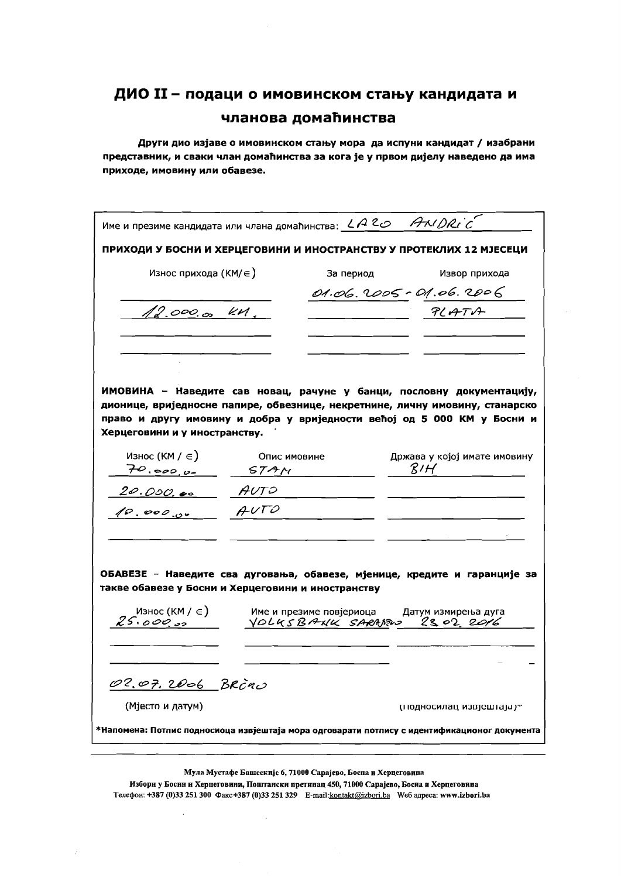Други дио изјаве о имовинском стању мора да испуни кандидат / изабрани представник, и сваки члан домаћинства за кога је у првом дијелу наведено да има приходе, имовину или обавезе.

|                                                                              |      |                                                                                                |                  | ПРИХОДИ У БОСНИ И ХЕРЦЕГОВИНИ И ИНОСТРАНСТВУ У ПРОТЕКЛИХ 12 МЈЕСЕЦИ |
|------------------------------------------------------------------------------|------|------------------------------------------------------------------------------------------------|------------------|---------------------------------------------------------------------|
| Износ прихода (КМ/ $\in$ )                                                   |      | За период                                                                                      |                  | Извор прихода                                                       |
|                                                                              |      |                                                                                                |                  | 01.06.2005 - 01.06.2006                                             |
| 12.000.00 KM.                                                                |      |                                                                                                |                  | PLATA                                                               |
|                                                                              |      |                                                                                                |                  |                                                                     |
|                                                                              |      |                                                                                                |                  |                                                                     |
|                                                                              |      |                                                                                                |                  |                                                                     |
| ИМОВИНА - Наведите сав новац, рачуне у банци, пословну документацију,        |      |                                                                                                |                  |                                                                     |
| дионице, вриједносне папире, обвезнице, некретнине, личну имовину, станарско |      |                                                                                                |                  |                                                                     |
| право и другу имовину и добра у вриједности већој од 5 000 КМ у Босни и      |      |                                                                                                |                  |                                                                     |
| Херцеговини и у иностранству.                                                |      |                                                                                                |                  |                                                                     |
| Износ (КМ / $\in$ )                                                          |      | Опис имовине                                                                                   |                  | Држава у којој имате имовину                                        |
| $70.0000 - 577M$                                                             |      |                                                                                                | $\mathcal{B}$ IH |                                                                     |
| 20.000.00 AUTO                                                               |      |                                                                                                |                  |                                                                     |
| 10.000.00                                                                    | AVTO |                                                                                                |                  |                                                                     |
|                                                                              |      |                                                                                                |                  |                                                                     |
|                                                                              |      |                                                                                                |                  |                                                                     |
|                                                                              |      |                                                                                                |                  |                                                                     |
|                                                                              |      |                                                                                                |                  |                                                                     |
| ОБАВЕЗЕ - Наведите сва дуговања, обавезе, мјенице, кредите и гаранције за    |      |                                                                                                |                  |                                                                     |
| такве обавезе у Босни и Херцеговини и иностранству                           |      |                                                                                                |                  |                                                                     |
|                                                                              |      | _Износ (КМ / ∈ ) име и презиме повјериоца и Датум измирења дуга<br>YOLKSBANK SARAPRO 2302 2016 |                  |                                                                     |
|                                                                              |      |                                                                                                |                  |                                                                     |
|                                                                              |      |                                                                                                |                  |                                                                     |
|                                                                              |      |                                                                                                |                  |                                                                     |
| 02.07.2006 BRCNO<br>(Мјесто и датум)                                         |      |                                                                                                |                  | птодносилац извјештаја ј $\tau$                                     |

Мула Мустафе Башсскијс 6, 71000 Сарајево, Босна и Херцеговина

Избори у Босни и Херцеговини, Поштански претинац 450, 71000 Сарајево, Босиа и Херцеговина Телефон: +387 (0)33 251 300 Факс +387 (0)33 251 329 E-mail:kontakt@izbori.ba We6 адреса: www.izbori.ba

 $\overline{a}$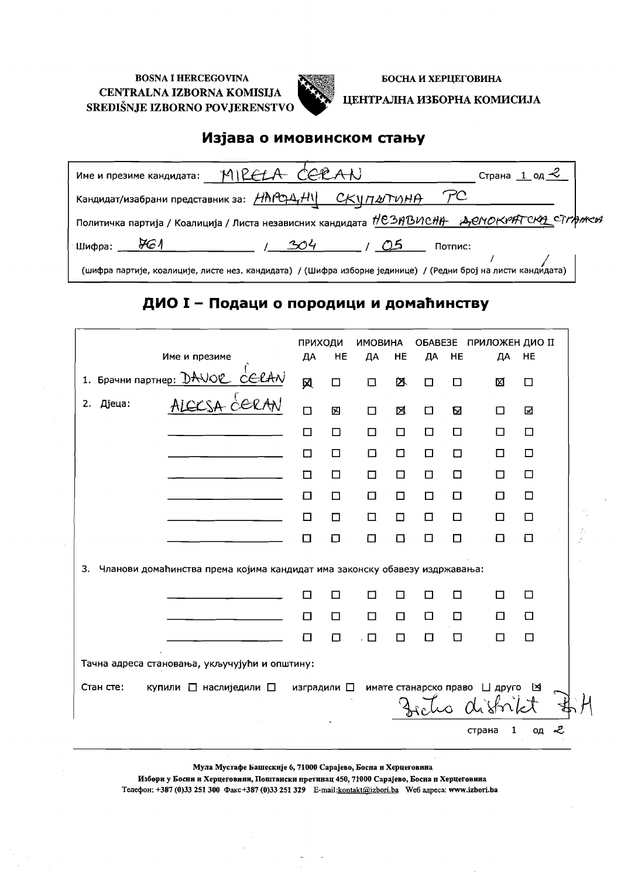

БОСНА И ХЕРЦЕГОВИНА

ЦЕНТРАЛНА ИЗБОРНА КОМИСИЈА

### Изјава о имовинском стању

| Име и презиме кандидата: MIRELA CERAN                                                                                           | Страна $1$ од $\leq$ |
|---------------------------------------------------------------------------------------------------------------------------------|----------------------|
| Кандидат/изабрани представник за: $\frac{\mu \hbar \rho \phi \Delta_r \mu}{\nu}$ СКУ $\eta \omega \tau \nu \mu \rho$ $\gamma C$ |                      |
| Политичка партија / Коалиција / Листа независних кандидата НСЗАВИСНА АДЕНОКРАТСКА СТГАНСИ                                       |                      |
| Шифра: $\mathcal{H}$<br>304<br>CD 3<br>Потпис:                                                                                  |                      |
| (шифра партије, коалиције, листе нез. кандидата) / (Шифра изборне јединице) / (Редни број на листи канди́дата)                  |                      |

## ДИО I - Подаци о породици и домаћинству

|                                               |                                                                            | ПРИХОДИ             |        | <b>ИМОВИНА</b> |        | OBABE3E |        | ПРИЛОЖЕН ДИО II                                     |        |
|-----------------------------------------------|----------------------------------------------------------------------------|---------------------|--------|----------------|--------|---------|--------|-----------------------------------------------------|--------|
|                                               | Име и презиме                                                              | ДА                  | HE     | ДА             | HE     | ДА      | HE     | ДА                                                  | HE     |
|                                               | 1. Брачни партне <u>р: DAVOC CELAN</u><br>2. Дјеца: ALCCSA CERAN           | 风                   | $\Box$ | □              | 囟      | П       | □      | 図                                                   | □      |
|                                               |                                                                            | $\Box$              | 図      | $\Box$         | 区      | □       | ⊠      | □                                                   | ⊠      |
|                                               |                                                                            | □                   | □      | $\Box$         | $\Box$ | $\Box$  | $\Box$ | $\Box$                                              | □      |
|                                               |                                                                            | П                   | □      | □              | ◻      | □       | П      | $\Box$                                              | $\Box$ |
|                                               |                                                                            | 口                   | □      | $\Box$         | □      | □       | □      | $\Box$                                              | □      |
|                                               |                                                                            | □                   | □      | $\Box$         | ◻      | □       | □      | □                                                   | □      |
|                                               |                                                                            | $\Box$              | $\Box$ | $\Box$         | $\Box$ | $\Box$  | □      | $\Box$                                              | $\Box$ |
|                                               |                                                                            | ⊡                   | $\Box$ | $\Box$         | $\Box$ | $\Box$  | □      | ◻                                                   | О      |
| 3.                                            | Чланови домаћинства према којима кандидат има законску обавезу издржавања: |                     |        |                |        |         |        |                                                     |        |
|                                               |                                                                            | П                   | □      | П              | П      | П       | П      | □                                                   | □      |
|                                               |                                                                            | $\Box$              | $\Box$ | $\Box$         | □      | □       | $\Box$ | $\Box$                                              | $\Box$ |
|                                               |                                                                            | $\Box$              | $\Box$ | $\Box$         | П      | Π       | $\Box$ | $\Box$                                              | □      |
| Тачна адреса становања, укључујући и општину: |                                                                            |                     |        |                |        |         |        |                                                     |        |
| Стан сте:                                     | купили □ наслиједили □                                                     | изградили $\square$ |        |                |        |         |        | имате станарско право [ друго [8]<br>Fretio distrik |        |
|                                               |                                                                            |                     |        |                |        |         |        | 1<br>страна                                         | ОД     |

Мула Мустафе Башескије 6, 71000 Сарајево, Босна и Херцеговина

Избори у Босни и Херцеговини, Поштански претинац 450, 71000 Сарајево, Босна и Херцеговииа Телефон: +387 (0)33 251 300 Факс+387 (0)33 251 329 E-mail:kontakt@izbori.ba We6 адреса: www.izbori.ba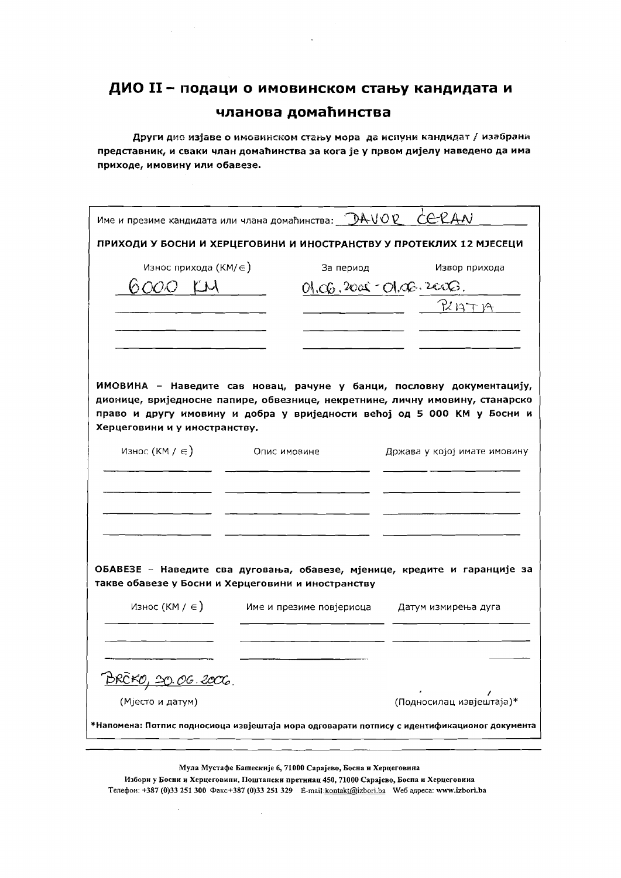Други дие изјаве о имовинском стању мора да испуни кандидат / изабрани представник, и сваки члан домаћинства за кога је у првом дијелу наведено да има приходе, имовину или обавезе.

| Име и презиме кандидата или члана домаћинства: $\mathcal{QAVQC}$ CCCAN |                                                    |                                                                                                                                                       |
|------------------------------------------------------------------------|----------------------------------------------------|-------------------------------------------------------------------------------------------------------------------------------------------------------|
|                                                                        |                                                    | ПРИХОДИ У БОСНИ И ХЕРЦЕГОВИНИ И ИНОСТРАНСТВУ У ПРОТЕКЛИХ 12 МЈЕСЕЦИ                                                                                   |
| Износ прихода (КМ/ $\in$ )                                             | За период                                          | Извор прихода                                                                                                                                         |
| 6 <i>000 Y.</i> W                                                      |                                                    | $01.06.2001 - 01.06.2006.$                                                                                                                            |
|                                                                        |                                                    | RIATA                                                                                                                                                 |
|                                                                        |                                                    |                                                                                                                                                       |
|                                                                        |                                                    |                                                                                                                                                       |
|                                                                        |                                                    | ИМОВИНА - Наведите сав новац, рачуне у банци, пословну документацију,<br>дионице, вриједносне папире, обвезнице, некретнине, личну имовину, станарско |
| Херцеговини и у иностранству.                                          |                                                    | право и другу имовину и добра у вриједности већој од 5 000 КМ у Босни и                                                                               |
| Износ (КМ / $\in$ )                                                    | Опис имовине                                       | Држава у којој имате имовину                                                                                                                          |
|                                                                        |                                                    |                                                                                                                                                       |
|                                                                        |                                                    |                                                                                                                                                       |
|                                                                        |                                                    |                                                                                                                                                       |
|                                                                        |                                                    |                                                                                                                                                       |
|                                                                        | такве обавезе у Босни и Херцеговини и иностранству | ОБАВЕЗЕ - Наведите сва дуговања, обавезе, мјенице, кредите и гаранције за                                                                             |
| Износ (КМ / $\in$ )                                                    | Име и презиме повјериоца                           | Датум измирења дуга                                                                                                                                   |
|                                                                        |                                                    |                                                                                                                                                       |
|                                                                        |                                                    |                                                                                                                                                       |
| <u>BRCKO, 20.06.2006.</u>                                              |                                                    |                                                                                                                                                       |
| (Мјесто и датум)                                                       |                                                    | (Подносилац извјештаја)*                                                                                                                              |
|                                                                        |                                                    | *Напомена: Потпис подносиоца извјештаја мора одговарати потпису с идентификационог документа                                                          |
|                                                                        |                                                    |                                                                                                                                                       |

Избори у Босни и Херцеговини, Поштански претинац 450, 71000 Сарајево, Босна и Херцеговина Телефон: +387 (0)33 251 300 Факс+387 (0)33 251 329 E-mail:kontakt@izbori.ba Weб адреса: www.izbori.ba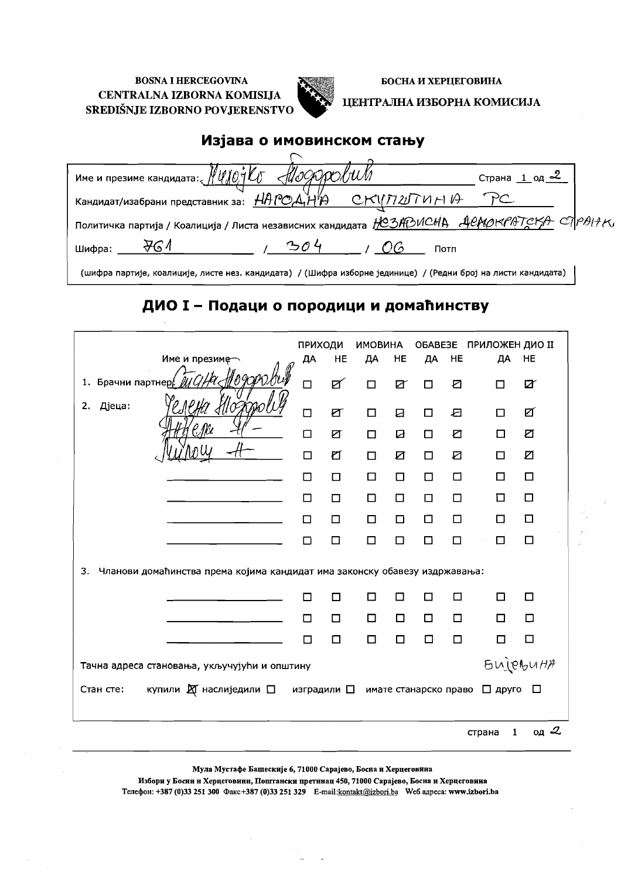

БОСНА И ХЕРЦЕГОВИНА

ЦЕНТРАЛНА ИЗБОРНА КОМИСИЈА

### Изјава о имовинском стању

| име и презиме кандидата: $\frac{N}{N}$ $\frac{N}{N}$ $\frac{N}{N}$ $\frac{N}{N}$ $\frac{N}{N}$ $\frac{N}{N}$ | Страна 1 од <u>~</u> |
|--------------------------------------------------------------------------------------------------------------|----------------------|
| Кандидат/изабрани представник за: $HAPO\mathcal{A}H\mathcal{P}$ СКИЛ20 $THH\mathcal{P}$                      |                      |
| Политичка партија / Коалиција / Листа независних кандидата <i>IOSADUCHA ACAQKPATCKA CAPAI+K</i>              |                      |
| Шифра:<br>Потп                                                                                               |                      |
|                                                                                                              |                      |

(шифра партије, коалиције, листе нез. кандидата) / (Шифра изборне јединице) / (Редни број на листи кандидата)

## ДИО I - Подаци о породици и домаћинству

|                                                                                  | ПРИХОДИ |    | <b>ИМОВИНА</b> |        |                       |        | ОБАВЕЗЕ ПРИЛОЖЕН ДИО II |                 |
|----------------------------------------------------------------------------------|---------|----|----------------|--------|-----------------------|--------|-------------------------|-----------------|
| Име и презиме                                                                    | ДА      | HE | ДА             | HE     | ДА                    | HE     | ДА                      | HE              |
| 1. Брачни партнер                                                                | $\Box$  | ☑  | $\Box$         | Ø      | $\Box$                | Ł      | П                       | Ø               |
| Дјеца:<br>2.                                                                     | $\Box$  | ☑  | $\Box$         | 日      | □                     | 日      | □                       | ☑               |
|                                                                                  | $\Box$  | ☑  | □              | ☑      | $\Box$                | O      | $\Box$                  | ☑               |
|                                                                                  | $\Box$  | ₫  | $\Box$         | ☑      | $\Box$                | ☑      | □                       | Ø               |
|                                                                                  | □       | □  | $\Box$         | $\Box$ | $\Box$                | □      | □                       | □               |
|                                                                                  | $\Box$  | □  | $\Box$         | $\Box$ | $\Box$                | $\Box$ | □                       | □               |
|                                                                                  | □       | □  | □              | $\Box$ | $\Box$                | $\Box$ | ◻                       | $\Box$          |
|                                                                                  | □       | □  | □              | □      | $\Box$                | $\Box$ | □                       | $\Box$          |
| Чланови домаћинства према којима кандидат има законску обавезу издржавања:<br>3. |         |    |                |        |                       |        |                         |                 |
|                                                                                  | □       | □  | □              | □      | П                     | □      | □                       | □               |
|                                                                                  | □       | □  | □              | $\Box$ | $\Box$                | □      | □                       | □               |
|                                                                                  | $\Box$  | □  | □              | $\Box$ | $\Box$                | $\Box$ | □                       | □               |
| Тачна адреса становања, укључујући и општину                                     |         |    |                |        |                       |        |                         | <b>BUJOBUHA</b> |
| купили $\boxtimes$ наслиједили $\square$ изградили $\square$<br>Стан сте:        |         |    |                |        | имате станарско право |        | □ друго                 | $\Box$          |
|                                                                                  |         |    |                |        |                       |        | 1<br>страна             | од $2$          |

Мула Мустафе Башескије 6, 71000 Сарајево, Босна и Херцеговина

Избори у Босин и Херцеговини, Поштански претинац 450, 71000 Сарајево, Босна и Херцеговина Телефон: +387 (0)33 251 300 Факс+387 (0)33 251 329 E-mail:kontakt@izbori.ba We6 адреса: www.izbori.ba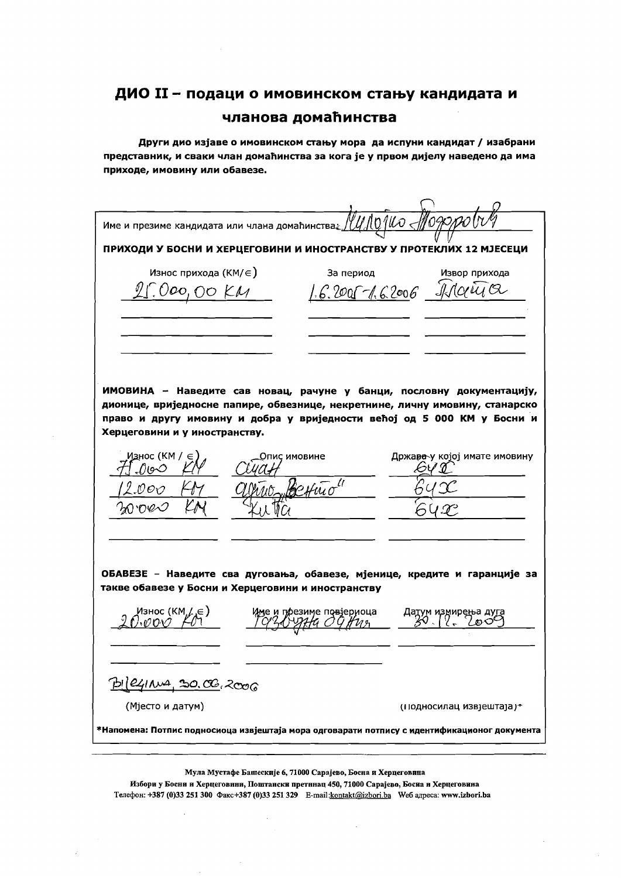Други дио изјаве о имовинском стању мора да испуни кандидат / изабрани представник, и сваки члан домаћинства за кога је у првом дијелу наведено да има приходе, имовину или обавезе.

| Име и презиме кандидата или члана домаћинства                                                                                   |                         | $^{\prime\prime}$ UNO 140 $<$ |                              |
|---------------------------------------------------------------------------------------------------------------------------------|-------------------------|-------------------------------|------------------------------|
| ПРИХОДИ У БОСНИ И ХЕРЦЕГОВИНИ И ИНОСТРАНСТВУ У ПРОТЕКЛИХ 12 МЈЕСЕЦИ                                                             |                         |                               |                              |
| Износ прихода (КМ/ $\in$ )                                                                                                      |                         | За период                     | Извор прихода                |
| 100,00 KM                                                                                                                       |                         | 6.2005-1.62006 Ildaeta        |                              |
|                                                                                                                                 |                         |                               |                              |
|                                                                                                                                 |                         |                               |                              |
|                                                                                                                                 |                         |                               |                              |
|                                                                                                                                 |                         |                               |                              |
|                                                                                                                                 |                         |                               |                              |
| ИМОВИНА - Наведите сав новац, рачуне у банци, пословну документацију,                                                           |                         |                               |                              |
| дионице, вриједносне папире, обвезнице, некретнине, личну имовину, станарско                                                    |                         |                               |                              |
| право и другу имовину и добра у вриједности већој од 5 000 КМ у Босни и                                                         |                         |                               |                              |
| Херцеговини и у иностранству.                                                                                                   |                         |                               |                              |
| Износ (КМ / ∈ )                                                                                                                 | пис имовине             |                               | Држава у којој имате имовину |
| ()७0                                                                                                                            |                         |                               |                              |
| N O 17                                                                                                                          |                         |                               |                              |
|                                                                                                                                 |                         |                               |                              |
|                                                                                                                                 |                         |                               |                              |
|                                                                                                                                 |                         |                               |                              |
|                                                                                                                                 |                         |                               |                              |
| ОБАВЕЗЕ - Наведите сва дуговања, обавезе, мјенице, кредите и гаранције за<br>такве обавезе у Босни и Херцеговини и иностранству |                         |                               |                              |
|                                                                                                                                 |                         |                               |                              |
| Износ (КМ,/,∈)                                                                                                                  | че и поезиме повјериоца |                               | Датум измирења дуга          |
|                                                                                                                                 |                         |                               |                              |
|                                                                                                                                 |                         |                               |                              |
| Pi(2411, 30, 00, 00, 000)                                                                                                       |                         |                               |                              |
| (Мјесто и датум)                                                                                                                |                         |                               | (подносилац извјештаја)≁     |
| *Напомена: Потпис подносиоца извјештаја мора одговарати потпису с идентификационог документа                                    |                         |                               |                              |
|                                                                                                                                 |                         |                               |                              |
|                                                                                                                                 |                         |                               |                              |

Мула Мустафе Башескије 6, 71000 Сарајево, Босна и Херцеговина

Избори у Босни и Херцеговини, Поштански претннац 450, 71000 Сарајево, Босна и Херцеговина Телефон: +387 (0)33 251 300 Факс+387 (0)33 251 329 E-mail:kontakt@izbori.ba Weб адреса: www.izbori.ba

 $\mathbb{R}^2$ 

 $\bar{\beta}$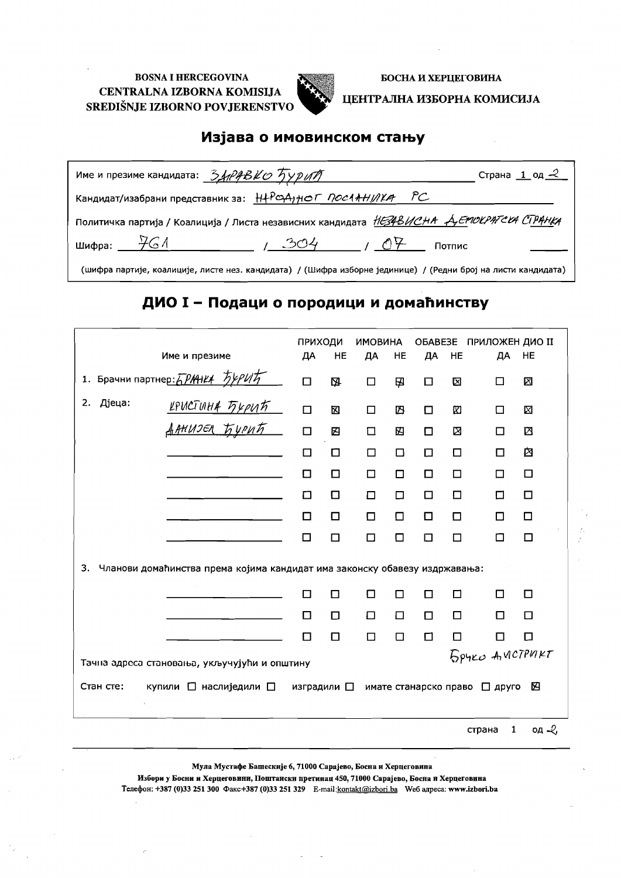

БОСНА И ХЕРЦЕГОВИНА

#### ЦЕНТРАЛНА ИЗБОРНА КОМИСИЈА

## Изјава о имовинском стању

| Име и презиме кандидата: $\frac{34}$ / $\frac{24}$ / $\frac{6}{2}$ / $\frac{7}{2}$ / $\frac{7}{2}$            |                        | Страна $1$ од $-2$ |
|---------------------------------------------------------------------------------------------------------------|------------------------|--------------------|
| Кандидат/изабрани представник за: Н+РФА) НОГ ПОСЛАНИИХА РС                                                    |                        |                    |
| Политичка партија / Коалиција / Листа независних кандидата <i>НЕЗАВИСНА А ЕРГОСРАТСИ СТРАНКА</i>              |                        |                    |
| шифра: $461$                                                                                                  | $1.304$ $04$<br>Потпис |                    |
| (шифра партије, коалиције, листе нез. кандидата) / (Шифра изборне јединице) / (Редни број на листи кандидата) |                        |                    |

### ДИО I - Подаци о породици и домаћинству

| Име и презиме                                                                    | ПРИХОДИ<br>ДА       | HE     | <b>ИМОВИНА</b><br>ДА | <b>HE</b> | OBABE3E<br>ДА | HE     | <b>ПРИЛОЖЕН ДИО II</b><br>ДA  | HE               |
|----------------------------------------------------------------------------------|---------------------|--------|----------------------|-----------|---------------|--------|-------------------------------|------------------|
| 1. Брачни партнер: 5 PAAHLA 54PUT                                                | $\Box$              | 囚      | $\Box$               | 囚         | 口             | 囟      | □                             | ⊠                |
| Дјеца:<br>2.<br><u>иристина Бурић<br/>Данизел Бурић —</u>                        | $\Box$              | 区      | $\Box$               | 内         | П             | 囟      | П                             | ⊠                |
|                                                                                  | $\Box$              | 囚      | $\Box$               | 囜         | □             | ⊠      | п                             | 区                |
|                                                                                  | $\Box$              | ◻      | □                    | $\Box$    | 口             | $\Box$ | п                             | 囟                |
|                                                                                  | П                   | □      | $\Box$               | □         | □             | □      | П                             | □                |
|                                                                                  | ◻                   | □      | □                    | $\Box$    | □             | □      | П                             | □                |
|                                                                                  | П                   | □      | $\Box$               | ⊡         | ◻             | □      | П                             | □                |
|                                                                                  | П                   | $\Box$ | П                    | П         | 口             | □      | П                             | $\Box$           |
| Чланови домаћинства према којима кандидат има законску обавезу издржавања:<br>3. |                     |        |                      |           |               |        |                               |                  |
|                                                                                  | П                   | П      | □                    | П         | □             | □      | П                             | $\Box$           |
|                                                                                  | ◻                   | $\Box$ | □                    | $\Box$    | $\Box$        | $\Box$ | п                             | $\Box$           |
|                                                                                  | □                   | $\Box$ | $\Box$               | $\Box$    | $\Box$        | ⊡      | ◻                             | $\Box$           |
| Тачна адреса становања, укључујући и општину                                     |                     |        |                      |           |               |        | <b>5 PYRO ANCTPURT</b>        |                  |
| Стан сте:<br>купили □ наслиједили □                                              | изградили $\square$ |        |                      |           |               |        | имате станарско право [ друго | 囜                |
|                                                                                  |                     |        |                      |           |               |        | $\mathbf{1}$<br>страна        | од $\mathcal{L}$ |

Мула Мустафе Башескије 6, 71000 Сарајево, Босна и Херцеговина

Избори у Босни и Херцеговини, Поштански претинац 450, 71000 Сарајево, Босна и Херцеговина Телефон: +387 (0)33 251 300 Факс+387 (0)33 251 329 E-mail:kontakt@izbori.ba Weб адреса: www.izbori.ba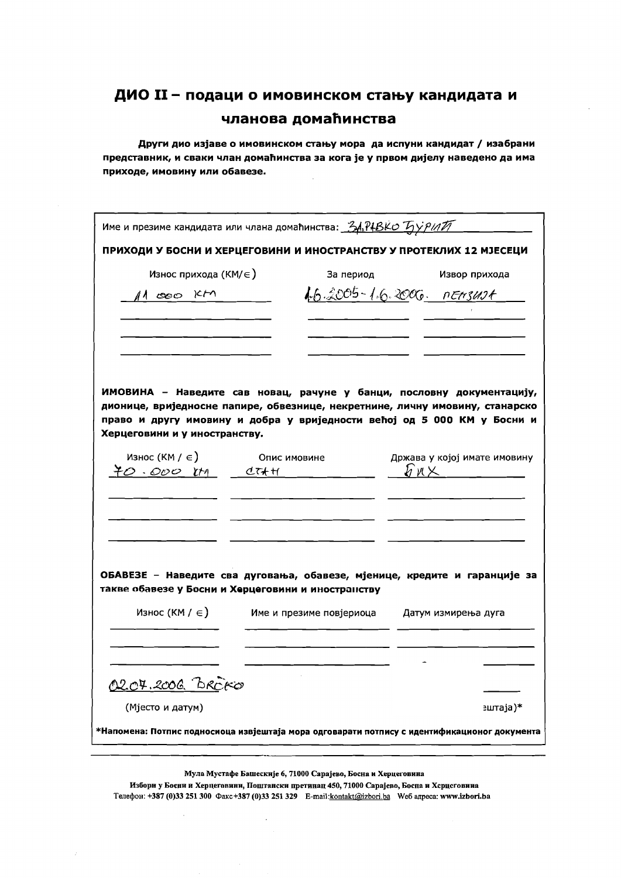Други дио изјаве о имовинском стању мора да испуни кандидат / изабрани представник, и сваки члан домаћинства за кога је у првом дијелу наведено да има приходе, имовину или обавезе.

|                                                    | Име и презиме кандидата или члана домаћинства: 34, P4BKO TyypinTT   |                                                                                                                                                                                                                                  |
|----------------------------------------------------|---------------------------------------------------------------------|----------------------------------------------------------------------------------------------------------------------------------------------------------------------------------------------------------------------------------|
|                                                    | ПРИХОДИ У БОСНИ И ХЕРЦЕГОВИНИ И ИНОСТРАНСТВУ У ПРОТЕКЛИХ 12 МЈЕСЕЦИ |                                                                                                                                                                                                                                  |
| Износ прихода (КМ/ $\in$ )                         | За период                                                           | Извор прихода                                                                                                                                                                                                                    |
| $11000$ KM                                         |                                                                     | 16.2005-16.2006. nEnsust                                                                                                                                                                                                         |
|                                                    |                                                                     |                                                                                                                                                                                                                                  |
| Херцеговини и у иностранству.                      |                                                                     | ИМОВИНА - Наведите сав новац, рачуне у банци, пословну документацију,<br>дионице, вриједносне папире, обвезнице, некретнине, личну имовину, станарско<br>право и другу имовину и добра у вриједности већој од 5 000 КМ у Босни и |
| Износ (КМ / $\in$ )<br>$40.000$ im diffi           | Опис имовине                                                        | Држава у којој имате имовину<br>h n X______                                                                                                                                                                                      |
|                                                    |                                                                     |                                                                                                                                                                                                                                  |
| такве обавезе у Босни и Херцеговини и иностранству |                                                                     | ОБАВЕЗЕ - Наведите сва дуговања, обавезе, мјенице, кредите и гаранције за                                                                                                                                                        |
| Износ (КМ / $\in$ )                                | Име и презиме повјериоца Датум измирења дуга                        |                                                                                                                                                                                                                                  |
|                                                    |                                                                     |                                                                                                                                                                                                                                  |
| <u>0207.2006 BRCKO</u>                             |                                                                     |                                                                                                                                                                                                                                  |
| (Мјесто и датум)                                   |                                                                     | зштаја)*                                                                                                                                                                                                                         |
|                                                    |                                                                     | *Напомена: Потпис подносиоца извјештаја мора одговарати потпису с идентификационог документа                                                                                                                                     |

Мула Мустафе Башескије 6, 71000 Сарајево, Босна и Херцеговина

Избори у Босни и Херцеговини, Поштански претинац 450, 71000 Сарајево, Боспа и Херцеговина Телефон: +387 (0)33 251 300 Факс +387 (0)33 251 329 E-mail: kontakt@izbori.ba Weб адреса: www.izbori.ba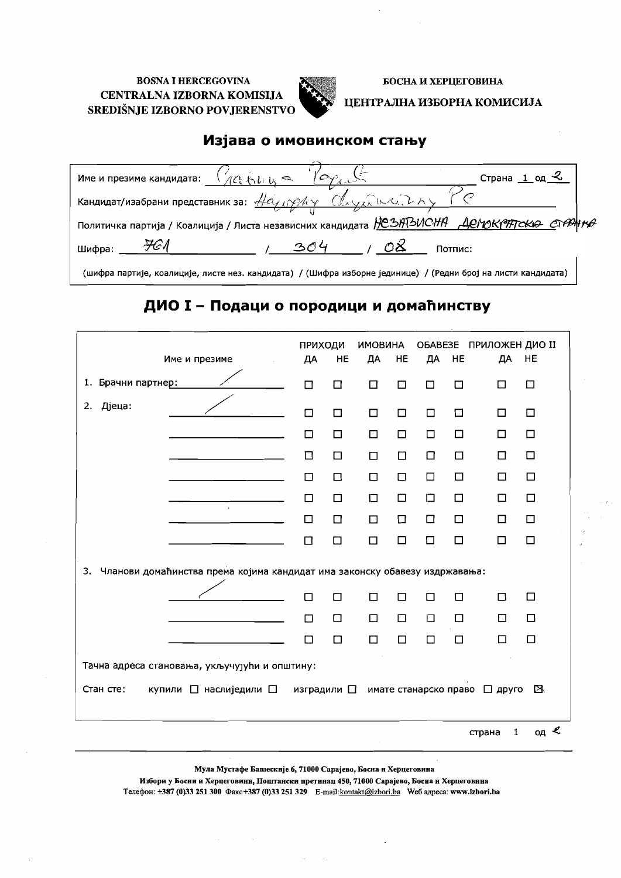

#### БОСНА И ХЕРЦЕГОВИНА

#### ЦЕНТРАЛНА ИЗБОРНА КОМИСИЈА

### Изјава о имовинском стању

| $O_Y$<br>$\sqrt{24448}$<br>Страна<br>Име и презиме кандидата:                                                                                                                               |
|---------------------------------------------------------------------------------------------------------------------------------------------------------------------------------------------|
| Кандидат/изабрани представник за: $\frac{\mu_{\alpha}}{\mu_{\beta}}\sqrt{\mu_{\gamma}}$ $\frac{(\lambda_{\gamma})_{\alpha}\lambda_{\gamma}(\lambda_{\gamma})}{(\lambda_{\gamma})_{\alpha}}$ |
| Политичка партија / Коалиција / Листа независних кандидата <i>  JC SHTSUCHH   ДСМОКРЯТСКА СТРАН КА</i>                                                                                      |
| 304<br>Шифра:<br>Потпис:                                                                                                                                                                    |
| (шифра партије, коалиције, листе нез. кандидата) / (Шифра изборне јединице) / (Редни број на листи кандидата)                                                                               |

## ДИО I - Подаци о породици и домаћинству

|                                                                                  | ПРИХОДИ     | <b>HE</b> | <b>ИМОВИНА</b> | HE     |                       | HE     | ОБАВЕЗЕ ПРИЛОЖЕН ДИО II<br>ДA | HE            |
|----------------------------------------------------------------------------------|-------------|-----------|----------------|--------|-----------------------|--------|-------------------------------|---------------|
| Име и презиме                                                                    | ДА          |           | ДА             |        | ДА                    |        |                               |               |
| 1. Брачни партнер:                                                               | $\Box$      | $\Box$    | □              | $\Box$ | $\Box$                | □      | □                             | □             |
| Дјеца:<br>2.                                                                     | $\Box$      | $\Box$    | □              | $\Box$ | $\Box$                | $\Box$ | □                             | $\Box$        |
|                                                                                  | $\Box$      | $\Box$    | □              | $\Box$ | $\Box$                | □      | □                             | $\Box$        |
|                                                                                  | $\Box$      | $\Box$    | □              | $\Box$ | $\Box$                | □      | □                             | □             |
|                                                                                  | $\Box$      | □         | □              | $\Box$ | □                     | $\Box$ | □                             | $\Box$        |
| $\epsilon$                                                                       | □           | □         | Ω              | $\Box$ | 口                     | $\Box$ | □                             | $\Box$        |
|                                                                                  | □           | $\Box$    | $\Box$         | $\Box$ | $\Box$                | $\Box$ | □                             | □             |
|                                                                                  | $\Box$      | $\Box$    | $\Box$         | $\Box$ | $\Box$                | $\Box$ | □                             | $\Box$        |
| Чланови домаћинства према којима кандидат има законску обавезу издржавања:<br>3. |             |           |                |        |                       |        |                               |               |
|                                                                                  | п           | □         | □              | $\Box$ | □                     | $\Box$ | $\Box$                        | □             |
|                                                                                  | $\Box$      | $\Box$    | □              | $\Box$ | $\Box$                | □      | □                             | $\Box$        |
|                                                                                  | □           | $\Box$    | П              | $\Box$ | □                     | □      | □                             | □             |
| Тачна адреса становања, укључујући и општину:                                    |             |           |                |        |                       |        |                               |               |
| Стан сте:<br>купили □ наслиједили □                                              | изградили □ |           |                |        | имате станарско право |        | □ друго                       | В             |
|                                                                                  |             |           |                |        |                       |        | 1<br>страна                   | од $\epsilon$ |

Мула Мустафе Башескије 6, 71000 Сарајево, Босна и Херцеговина

Избори у Босни и Херцеговини, Поштански претинац 450, 71000 Сарајево, Босна и Херцеговнна Телефон: +387 (0)33 251 300 Факс+387 (0)33 251 329 E-mail:kontakt@izbori.ba Weб адреса: www.izbori.ba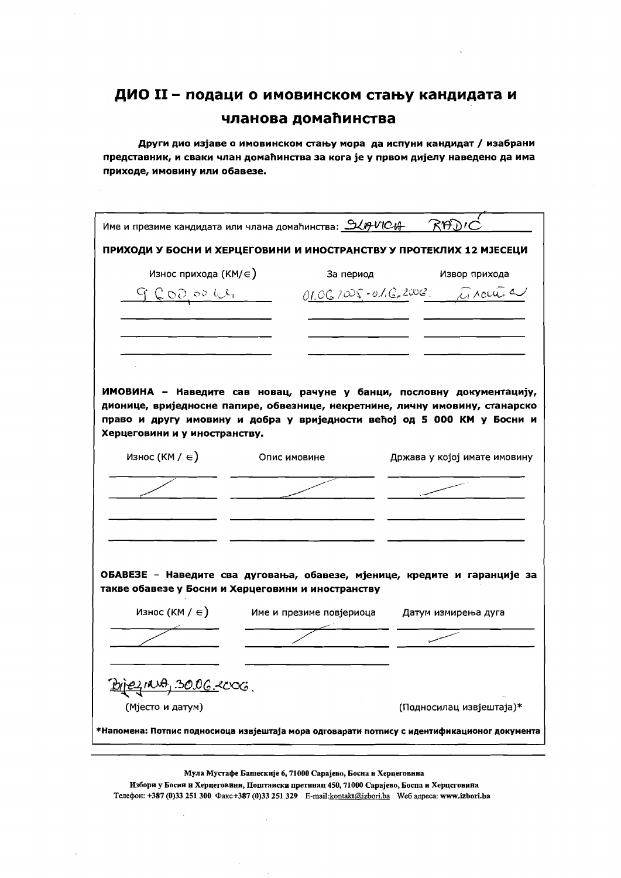Други дио изјаве о имовинском стању мора да испуни кандидат / изабрани представник, и сваки члан домаћинства за кога је у првом дијелу наведено да има приходе, имовину или обавезе.

|                               | Име и презиме кандидата или члана домаћинства: <u>946MCA - RADM</u> |                                                                                                                                                                                                                                  |
|-------------------------------|---------------------------------------------------------------------|----------------------------------------------------------------------------------------------------------------------------------------------------------------------------------------------------------------------------------|
|                               |                                                                     | ПРИХОДИ У БОСНИ И ХЕРЦЕГОВИНИ И ИНОСТРАНСТВУ У ПРОТЕКЛИХ 12 МЈЕСЕЦИ                                                                                                                                                              |
| Износ прихода (КМ/ $\in$ )    | За период                                                           | Извор прихода                                                                                                                                                                                                                    |
| $G$ $Q$ $OQ$ $OQ$ $U_1$       |                                                                     | 01.06.1005-01.6.2008. Arcuit a                                                                                                                                                                                                   |
|                               |                                                                     |                                                                                                                                                                                                                                  |
| Херцеговини и у иностранству. |                                                                     | ИМОВИНА - Наведите сав новац, рачуне у банци, пословну документацију,<br>дионице, вриједносне папире, обвезнице, некретнине, личну имовину, станарско<br>право и другу имовину и добра у вриједности већој од 5 000 КМ у Босни и |
| Износ (КМ / $\in$ )           | Опис имовине                                                        | Држава у којој имате имовину                                                                                                                                                                                                     |
|                               |                                                                     |                                                                                                                                                                                                                                  |
|                               | такве обавезе у Босни и Херцеговини и иностранству                  | ОБАВЕЗЕ - Наведите сва дуговања, обавезе, мјенице, кредите и гаранције за                                                                                                                                                        |
| Износ (КМ / ∈)                | Име и презиме повјериоца                                            | Датум измирења дуга                                                                                                                                                                                                              |
|                               |                                                                     |                                                                                                                                                                                                                                  |
| <u>DIEZINA, 30.06.2006.</u>   |                                                                     |                                                                                                                                                                                                                                  |
| (Мјесто и датум)              |                                                                     | (Подносилац извјештаја)*                                                                                                                                                                                                         |
|                               |                                                                     | *Напомена: Потпис подносиоца извјештаја мора одговарати потпису с идентификационог документа                                                                                                                                     |
|                               |                                                                     |                                                                                                                                                                                                                                  |

Мула Мустафе Башескије 6, 71000 Сарајево, Босна и Херцеговина

Избори у Босии и Херцеговини, Поштаиски претинац 450, 71000 Сарајево, Боспа и Херцсговина Телефон: +387 (0)33 251 300 Факс+387 (0)33 251 329 E-mail:kontakt@izbori.ba Weб адреса: www.izbori.ba

 $\bar{z}$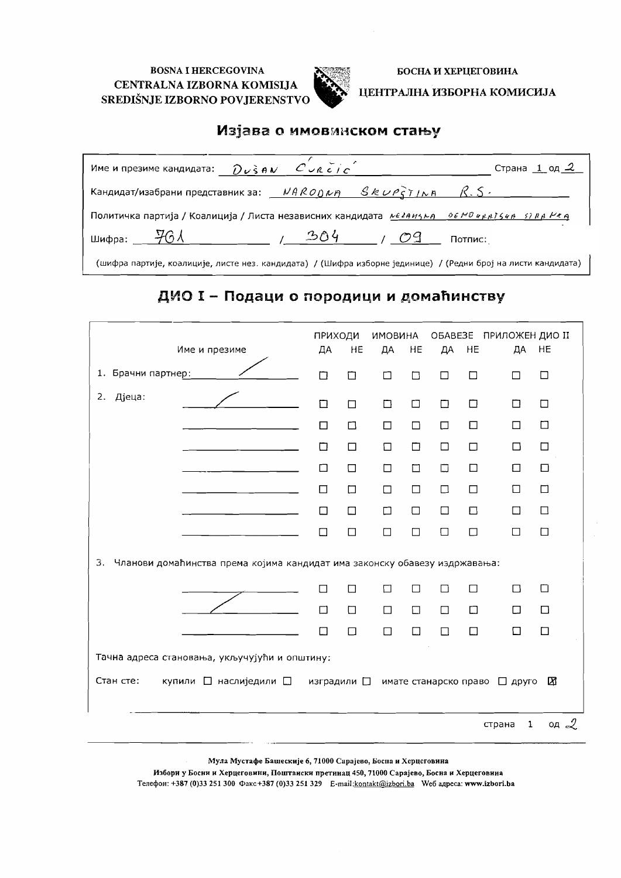

БОСНА И ХЕРЦЕГОВИНА

ЦЕНТРАЛНА ИЗБОРНА КОМИСИЈА

### Изјава о имовинском стању

| Име и презиме кандидата: $\partial v$ s $\theta$ $\vee$ $\theta$ $\vee$ $\theta$ $\vee$ $\theta$ $\theta$ $\theta$ $\theta$ |               | Страна 1 од 2 |
|-----------------------------------------------------------------------------------------------------------------------------|---------------|---------------|
| Кандидат/изабрани представник за: $NARO$ $0 \nu R$ $SR \nu PST/NR$ $R.S.$                                                   |               |               |
| Политичка партија / Коалиција / Листа независних кандидата <i>реганизна пов Можатска втра Ива</i>                           |               |               |
| шифра: $\frac{1}{2}$ 6 Л                                                                                                    | $-304$<br>109 | Потпис:       |
|                                                                                                                             |               |               |

(шифра партије, коалиције, листе нез. кандидата) / (Шифра изборне јединице) / (Редни број на листи кандидата)

## ДИО I - Подаци о породици и домаћинству

| Име и презиме                                                                    | ПРИХОДИ<br>ДА                                 | HE     | ИМОВИНА<br>ДА | HE     | ДА                    | HE     | ОБАВЕЗЕ ПРИЛОЖЕН ДИО II<br>ДA | HE              |
|----------------------------------------------------------------------------------|-----------------------------------------------|--------|---------------|--------|-----------------------|--------|-------------------------------|-----------------|
| 1. Брачни партнер:                                                               | П                                             | □      | □             | □      | $\Box$                | □      | $\Box$                        | $\Box$          |
| Дјеца:<br>2.                                                                     | $\Box$                                        | $\Box$ | ◘             | $\Box$ | $\Box$                | $\Box$ | ◻                             | $\Box$          |
|                                                                                  | $\Box$                                        | $\Box$ | □             | $\Box$ | $\Box$                | $\Box$ | □                             | $\Box$          |
|                                                                                  | □                                             | $\Box$ | $\Box$        | $\Box$ | $\Box$                | $\Box$ | □                             | □               |
|                                                                                  | ⊓                                             | $\Box$ | □             | $\Box$ | $\Box$                | $\Box$ | □                             | $\Box$          |
|                                                                                  | □                                             | $\Box$ | $\Box$        | $\Box$ | $\Box$                | $\Box$ | □                             | $\Box$          |
|                                                                                  | □                                             | $\Box$ | $\Box$        | $\Box$ | $\Box$                | $\Box$ | □                             | $\Box$          |
|                                                                                  | П                                             | $\Box$ | $\Box$        | $\Box$ | $\Box$                | $\Box$ | П                             | $\Box$          |
| 3.<br>Чланови домаћинства према којима кандидат има законску обавезу издржавања: |                                               |        |               |        |                       |        |                               |                 |
|                                                                                  | П                                             | □      | □             | $\Box$ | □                     | $\Box$ | $\Box$                        | □               |
|                                                                                  | □                                             | $\Box$ | $\Box$        | $\Box$ | $\Box$                | $\Box$ | $\Box$                        | $\Box$          |
|                                                                                  | П                                             | $\Box$ | П             | $\Box$ | □                     | $\Box$ | П                             | П               |
|                                                                                  | Тачна адреса становања, укључујући и општину: |        |               |        |                       |        |                               |                 |
| Стан сте:<br>купили □ наслиједили □                                              | изградили $\square$                           |        |               |        | имате станарско право |        | $\Box$ друго                  | ⊠               |
|                                                                                  |                                               |        |               |        |                       |        | $\mathbf 1$<br>страна         | од $\mathcal Q$ |

Мула Мустафе Башескије 6, 71000 Сарајево, Босна и Херцеговина

Избори у Босни и Херцеговини, Поштаиски претинац 450, 71000 Сарајево, Босна и Херцеговина Телефон: +387 (0)33 251 300 Факс +387 (0)33 251 329 E-mail:kontakt@izbori.ba Weб aдреса: www.izbori.ba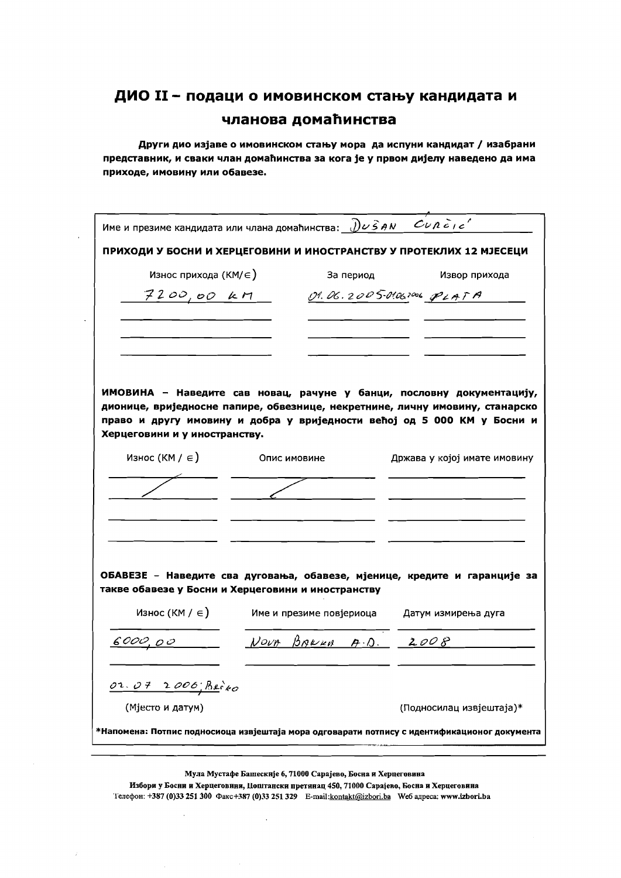Други дио изјаве о имовинском стању мора да испуни кандидат / изабрани представник, и сваки члан домаћинства за кога је у првом дијелу наведено да има приходе, имовину или обавезе.

| Име и презиме кандидата или члана домаћинства: $\partial\nu\hat{s}$ AN $\omega$ $\partial\nu\hat{s}$ AN |                          |           |                                                                                                                                                                                                                                  |
|---------------------------------------------------------------------------------------------------------|--------------------------|-----------|----------------------------------------------------------------------------------------------------------------------------------------------------------------------------------------------------------------------------------|
|                                                                                                         |                          |           | ПРИХОДИ У БОСНИ И ХЕРЦЕГОВИНИ И ИНОСТРАНСТВУ У ПРОТЕКЛИХ 12 МЈЕСЕЦИ                                                                                                                                                              |
| Износ прихода (КМ/∈)                                                                                    |                          | За период | Извор прихода                                                                                                                                                                                                                    |
| 7200,00 kM                                                                                              |                          |           | 01.06.2005-01.062006 PLATA                                                                                                                                                                                                       |
|                                                                                                         |                          |           |                                                                                                                                                                                                                                  |
| Херцеговини и у иностранству.                                                                           |                          |           | ИМОВИНА - Наведите сав новац, рачуне у банци, пословну документацију,<br>дионице, вриједносне папире, обвезнице, некретнине, личну имовину, станарско<br>право и другу имовину и добра у вриједности већој од 5 000 КМ у Босни и |
| Износ (КМ / $\in$ )                                                                                     | Опис имовине             |           | Држава у којој имате имовину                                                                                                                                                                                                     |
|                                                                                                         |                          |           |                                                                                                                                                                                                                                  |
| такве обавезе у Босни и Херцеговини и иностранству<br>Износ (КМ / $\in$ )                               | Име и презиме повјериоца |           | ОБАВЕЗЕ - Наведите сва дуговања, обавезе, мјенице, кредите и гаранције за<br>Датум измирења дуга                                                                                                                                 |
|                                                                                                         |                          |           |                                                                                                                                                                                                                                  |
| <u>6</u> 000,00                                                                                         |                          |           | Nout BARRER A.D. 2008                                                                                                                                                                                                            |
| 02.07 2006 Beixo                                                                                        |                          |           |                                                                                                                                                                                                                                  |
| (Мјесто и датум)                                                                                        |                          |           | (Подносилац извјештаја)*                                                                                                                                                                                                         |
|                                                                                                         |                          |           | *Напомена: Потпис подносиоца извјештаја мора одговарати потпису с идентификационог документа                                                                                                                                     |
|                                                                                                         |                          |           |                                                                                                                                                                                                                                  |

Мула Мустафе Башескије 6, 71000 Сарајево, Босна и Херцеговина

Избори у Босни и Херцеговини, Поштански претинац 450, 71000 Сарајево, Босна и Херцеговина Телефон: +387 (0)33 251 300 Факс+387 (0)33 251 329 E-mail:kontakt@izbori.ba We6 адреса: www.izbori.ba

 $\ddot{\phantom{a}}$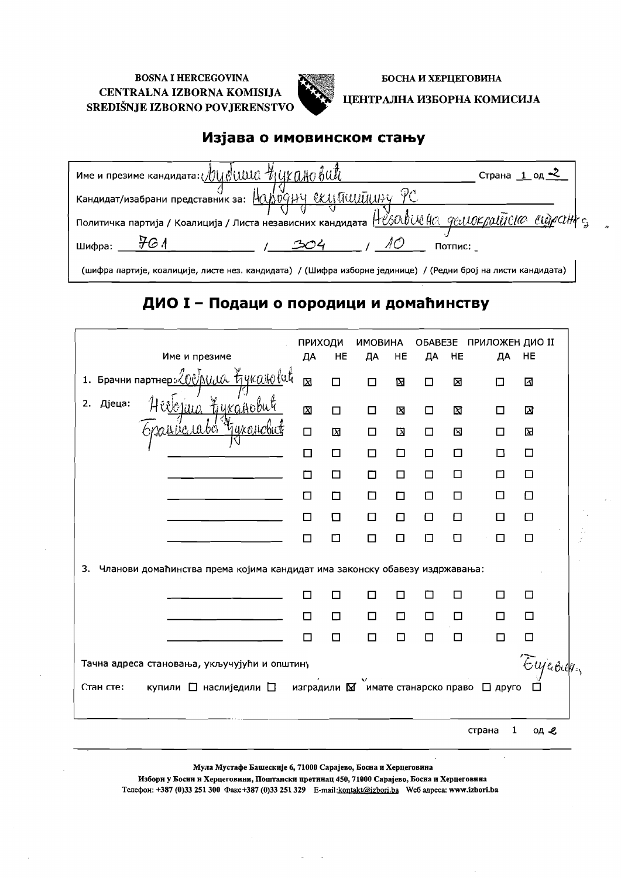

БОСНА И ХЕРЦЕГОВИНА

### ЦЕНТРАЛНА ИЗБОРНА КОМИСИЈА

## Изјава о имовинском стању

| име и презиме кандидата: $\sqrt{U}$ UUUU $\sqrt{U}$ UKUHO $\ell$ UUU                                          | Страна $1$ од $\leq$ |
|---------------------------------------------------------------------------------------------------------------|----------------------|
| Кандидат/изабрани представник за: $\frac{Q}{2}$                                                               |                      |
| политичка партија / Коалиција / Листа независних кандидата $H$ <i>MSOOOWHC 9WIOK DOUTCIO CUQPOH</i>           |                      |
| Шифра:<br>Потпис:                                                                                             |                      |
| (шифра партије, коалиције, листе нез. кандидата) / (Шифра изборне јединице) / (Редни број на листи кандидата) |                      |

## ДИО I - Подаци о породици и домаћинству

| Име и презиме                                                                                          | ПРИХОДИ<br>ДА | HE     | <b>ИМОВИНА</b><br>ДА | HE     | OBABE3E<br>ДА | HE     | ПРИЛОЖЕН ДИО II<br>ДА | HE     |
|--------------------------------------------------------------------------------------------------------|---------------|--------|----------------------|--------|---------------|--------|-----------------------|--------|
| 1. Брачни партнер: 200 AUW tykalolut                                                                   | 囟             | ◻      | $\Box$               | Σ      | □             | ⊠      | П                     | ⊠      |
| inn Lykayobu<br>2. Дјеца:                                                                              | $\boxtimes$   | $\Box$ | □                    | 図      | □             | N      | П                     | 区      |
| <u>uic</u> uvé "                                                                                       | $\Box$        | Σ      | □                    | 囟      | $\Box$        | ⊠      | □                     | 囟      |
|                                                                                                        | $\Box$        | □      | 口                    | $\Box$ | □             | $\Box$ | ◻                     | □      |
|                                                                                                        | П             | □      | □                    | $\Box$ | $\Box$        | □      | □                     | $\Box$ |
|                                                                                                        | □             | □      | □                    | □      | □             | □      | П                     | $\Box$ |
|                                                                                                        | □             | □      | ◻                    | □      | □             | □      | □                     | 口      |
|                                                                                                        | П             | ◻      | □                    | □      | 口             | ◘      | П                     | □      |
| 3.<br>Чланови домаћинства према којима кандидат има законску обавезу издржавања:                       |               |        |                      |        |               |        |                       |        |
|                                                                                                        | $\Box$        | □      | □                    | □      | □             | □      | П                     | □      |
|                                                                                                        | □             | □      | □                    | □      | $\Box$        | □      | □                     | □      |
|                                                                                                        | П             | $\Box$ | □                    | □      | $\Box$        | □      | □                     | □      |
| Eujeour<br>Тачна адреса становања, укључујући и општину                                                |               |        |                      |        |               |        |                       |        |
| Стан сте:<br>купили $\Box$ наслиједили $\Box$ изградили $\boxtimes$ имате станарско право $\Box$ друго |               |        |                      |        |               |        |                       |        |
|                                                                                                        |               |        |                      |        |               |        | 1<br>страна           | од -е  |

Мула Мустафе Башескије 6, 71000 Сарајево, Босна и Херцеговина

Избори у Босни и Херцеговини, Поштански претинац 450, 71000 Сарајево, Босна и Херцеговина Телефон: +387 (0)33 251 300 Факс +387 (0)33 251 329 E-mail:kontakt@izbori.ba We6 адреса: www.izbori.ba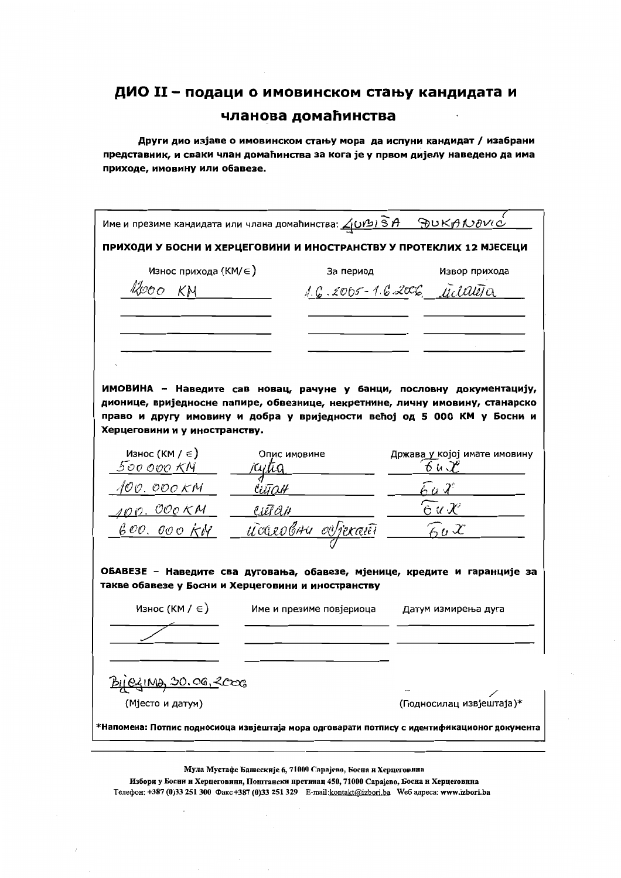Други дио изјаве о имовинском стању мора да испуни кандидат / изабрани представник, и сваки члан домаћинства за кога је у првом дијелу наведено да има приходе, имовину или обавезе.

|                                                 | Име и презиме кандидата или члана домаћинства: $\Delta$ Urbi SA SpuKA100Vi $\dot{\circ}$                                        |                              |
|-------------------------------------------------|---------------------------------------------------------------------------------------------------------------------------------|------------------------------|
| Износ прихода $(KM/\epsilon)$                   | ПРИХОДИ У БОСНИ И ХЕРЦЕГОВИНИ И ИНОСТРАНСТВУ У ПРОТЕКЛИХ 12 МЈЕСЕЦИ<br>За период                                                | Извор прихода                |
| ROOO KN                                         |                                                                                                                                 | 1.6.2005-1.6.2006 Milareta   |
|                                                 |                                                                                                                                 |                              |
|                                                 |                                                                                                                                 |                              |
|                                                 |                                                                                                                                 |                              |
|                                                 |                                                                                                                                 |                              |
|                                                 |                                                                                                                                 |                              |
|                                                 | ИМОВИНА - Наведите сав новац, рачуне у банци, пословну документацију,                                                           |                              |
|                                                 | дионице, вриједносне папире, обвезнице, некретнине, личну имовину, станарско                                                    |                              |
| Херцеговини и у иностранству.                   | право и другу имовину и добра у вриједности већој од 5 000 КМ у Босни и                                                         |                              |
| Износ (КМ / $\in$ )                             | Опис имовине                                                                                                                    | Држава у којој имате имовину |
| 500 000 KM                                      |                                                                                                                                 | せんぴ                          |
| 100. OOO KM                                     |                                                                                                                                 |                              |
| <u> 10 п. Обо Км</u>                            | Uet <i>an</i>                                                                                                                   | e u x                        |
| 600. 000 KM                                     | <u>udeoluu ovjeran</u>                                                                                                          | $\widehat{\kappa}_u$ X       |
|                                                 |                                                                                                                                 |                              |
|                                                 |                                                                                                                                 |                              |
|                                                 | ОБАВЕЗЕ - Наведите сва дуговања, обавезе, мјенице, кредите и гаранције за<br>такве обавезе у Босни и Херцеговини и иностранству |                              |
|                                                 |                                                                                                                                 |                              |
|                                                 |                                                                                                                                 |                              |
| Износ (КМ / $\in$ )                             | Име и презиме повјериоца                                                                                                        | Датум измирења дуга          |
|                                                 |                                                                                                                                 |                              |
|                                                 |                                                                                                                                 |                              |
|                                                 |                                                                                                                                 |                              |
| <u>By ezing 30.06, 2000</u><br>(Мјесто и датум) |                                                                                                                                 | (Подносилац извјештаја)*     |
|                                                 | *Напомена: Потпис подносиоца извјештаја мора одговарати потпису с идентификационог документа                                    |                              |

Мула Мустафе Башескије 6, 71000 Сарајево, Босна и Херцеговина Избори у Босни и Херцеговини, Поштански претииац 450, 71000 Сарајево, Босна и Херцеговнна

Телефон: +387 (0)33 251 300 Факс+387 (0)33 251 329 E-mail:kontakt@izbori.ba Weб адреса: www.izbori.ba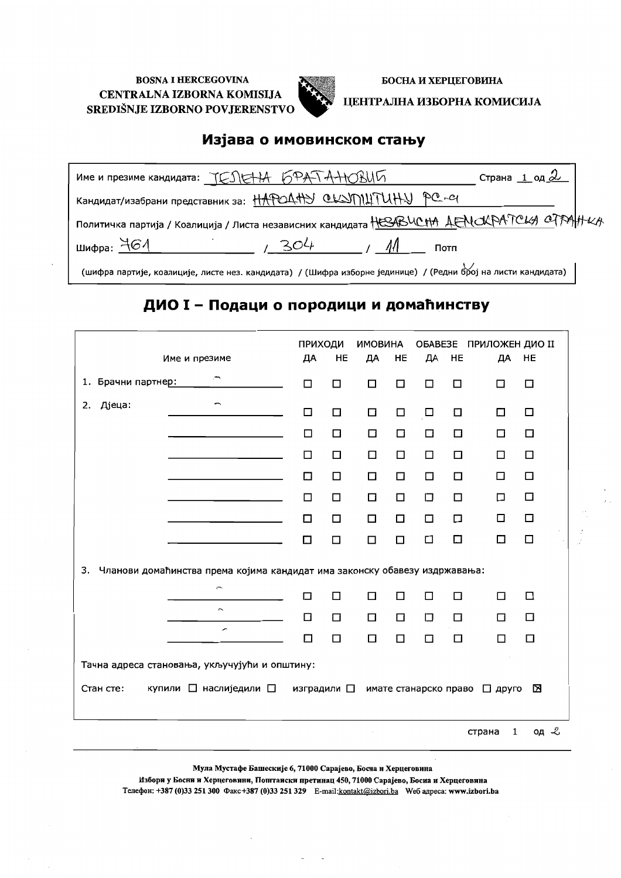

БОСНА И ХЕРЦЕГОВИНА

#### ЦЕНТРАЛНА ИЗБОРНА КОМИСИЈА

### Изјава о имовинском стању

| име и презиме кандидата: TESIEHA 6PATAHOBUL                                                                  | Страна <u>1 од <math>2</math></u> |  |
|--------------------------------------------------------------------------------------------------------------|-----------------------------------|--|
| Кандидат/изабрани представник за: $\frac{11}{100}$ CLSn $\frac{11}{100}$ CLSN $\frac{11}{100}$ PC - с        |                                   |  |
| Политичка партија / Коалиција / Листа независних кандидата НЕЗВЧОНА ДЕНСКРАТСКА СТРАННСА                     |                                   |  |
| шифра: $461$<br>304<br>Потп                                                                                  |                                   |  |
| иифра партије, коалиције, листе нез. кандидата) / (Шифра изборне јединице) / (Редни број на листи кандидата) |                                   |  |

## ДИО I - Подаци о породици и домаћинству

| Име и презиме                                                                    | <b>ПРИХОДИ</b><br>ДА | HE     | <b>ИМОВИНА</b><br>ДА | HE     | ДА                    | HE     | ОБАВЕЗЕ ПРИЛОЖЕН ДИО II<br>ДА | HE     |
|----------------------------------------------------------------------------------|----------------------|--------|----------------------|--------|-----------------------|--------|-------------------------------|--------|
| 1. Брачни партнер:                                                               | □                    | □      | □                    | $\Box$ | □                     | □      | $\Box$                        | □      |
| Дјеца:<br>2.                                                                     | $\Box$               | $\Box$ | $\Box$               | $\Box$ | $\Box$                | $\Box$ | □                             | □      |
|                                                                                  | $\Box$               | $\Box$ | $\Box$               | $\Box$ | $\Box$                | □      | □                             | $\Box$ |
|                                                                                  | □                    | $\Box$ | $\Box$               | $\Box$ | □                     | □      | □                             | □      |
|                                                                                  | □                    | □      | □                    | □      | $\Box$                | □      | □                             | □      |
|                                                                                  | П                    | □      | $\Box$               | $\Box$ | $\Box$                | □      | □                             | $\Box$ |
|                                                                                  | $\Box$               | $\Box$ | □                    | $\Box$ | $\Box$                | □      | □                             | $\Box$ |
|                                                                                  | П                    | $\Box$ | $\Box$               | □      | $\Box$                | □      | П                             | □      |
| 3.<br>Чланови домаћинства према којима кандидат има законску обавезу издржавања: |                      |        |                      |        |                       |        |                               |        |
| Ļ                                                                                | $\Box$               | □      | □                    | П      | $\Box$                | □      | $\Box$                        | $\Box$ |
| $\overline{\phantom{a}}$                                                         | $\Box$               | $\Box$ | $\Box$               | $\Box$ | □                     | $\Box$ | □                             | □      |
| $\overline{\phantom{0}}$                                                         | $\Box$               | □      | $\Box$               | $\Box$ | □                     | $\Box$ | П                             | $\Box$ |
| Тачна адреса становања, укључујући и општину:                                    |                      |        |                      |        |                       |        |                               |        |
| купили □ наслиједили □<br>Стан сте:                                              | изградили □          |        |                      |        | имате станарско право |        | □ друго                       | ⊠      |
|                                                                                  |                      |        |                      |        |                       |        | 1<br>страна                   | од ∠   |

Мула Мустафе Башескије 6, 71000 Сарајево, Босна и Херцеговина

Избори у Босни и Херцеговини, Попгтански претинац 450, 71000 Сарајево, Босиа и Херцеговина Телефон: +387 (0)33 251 300 Факс+387 (0)33 251 329 E-mail: kontakt@izbori.ba We6 aдреса: www.izbori.ba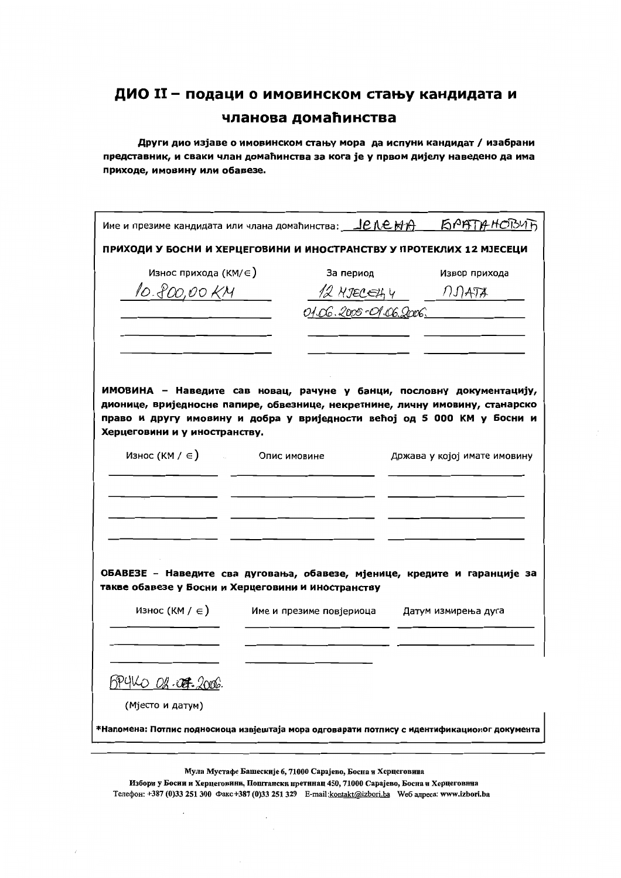Други дио изјаве о имовинском стању мора да испуни кандидат / изабрани представник, и сваки члан домаћинства за кога је у првом дијелу наведено да има приходе, имовину или обавезе.

| Име и презиме кандидата или члана домаћинства: __ <u>Je Ne MA ___ Ki PATTA HOBUT</u>                                                                  |                          |                        |                              |  |  |
|-------------------------------------------------------------------------------------------------------------------------------------------------------|--------------------------|------------------------|------------------------------|--|--|
| ПРИХОДИ У БОСНИ И ХЕРЦЕГОВИНИ И ИНОСТРАНСТВУ У ПРОТЕКЛИХ 12 МЈЕСЕЦИ                                                                                   |                          |                        |                              |  |  |
| Износ прихода (КМ/ $\in$ )                                                                                                                            |                          | За период              | Извор прихода                |  |  |
| 10.800,00 KM                                                                                                                                          |                          | 12 MJECELLY 11 MATA    |                              |  |  |
|                                                                                                                                                       |                          | 01.06.2005-01.06.2006. |                              |  |  |
| ИМОВИНА - Наведите сав новац, рачуне у банци, пословну документацију,<br>дионице, вриједносне папире, обвезнице, некретнине, личну имовину, станарско |                          |                        |                              |  |  |
| право и другу имовину и добра у вриједности већој од 5 000 КМ у Босни и<br>Херцеговини и у иностранству.<br>Износ $(KM / \epsilon)$ Опис имовине      |                          |                        |                              |  |  |
|                                                                                                                                                       |                          |                        | Држава у којој имате имовину |  |  |
|                                                                                                                                                       |                          |                        |                              |  |  |
|                                                                                                                                                       |                          |                        |                              |  |  |
| ОБАВЕЗЕ - Наведите сва дуговања, обавезе, мјенице, кредите и гаранције за<br>такве обавезе у Босни и Херцеговини и иностранству                       |                          |                        |                              |  |  |
| Износ (КМ / $\in$ )                                                                                                                                   | Име и презиме повјериоца |                        | Датум измирења дуга          |  |  |
|                                                                                                                                                       |                          |                        |                              |  |  |
| <u>BPYKO Of OF 2006</u>                                                                                                                               |                          |                        |                              |  |  |
| (Мјесто и датум)                                                                                                                                      |                          |                        |                              |  |  |
| *Напомена: Потпис подносиоца извјештаја мора одговарати потпису с идентификационог документа                                                          |                          |                        |                              |  |  |
|                                                                                                                                                       |                          |                        |                              |  |  |

Избори у Босии и Херцеговини, Поштански претинац 450, 71000 Сарајево, Босна и Херцеговина Телефон: +387 (0)33 251 300 Факс +387 (0)33 251 329 E-mail:kontakt@izbori.ba We6 aдреса: www.izbori.ba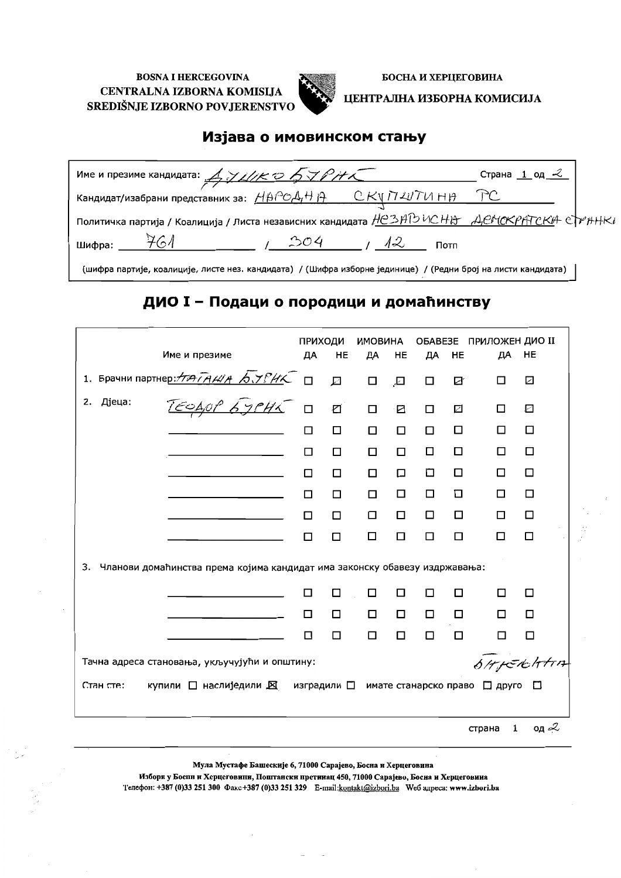

БОСНА И ХЕРЦЕГОВИНА

ЦЕНТРАЛНА ИЗБОРНА КОМИСИЈА

## Изјава о имовинском стању

| Име и презиме кандидата: $A$ <i>J J Ll/K O 5 J P H K</i>                                                                                                                                                                                                                                                                                                                                                                                                   | Страна $1$ од $\mathcal{L}$ |
|------------------------------------------------------------------------------------------------------------------------------------------------------------------------------------------------------------------------------------------------------------------------------------------------------------------------------------------------------------------------------------------------------------------------------------------------------------|-----------------------------|
|                                                                                                                                                                                                                                                                                                                                                                                                                                                            |                             |
| Политичка партија / Коалиција / Листа независних кандидата НСЗАДУ ИСНО ДЕНСКРАТСКА СТРАНК                                                                                                                                                                                                                                                                                                                                                                  |                             |
| - 761<br>Шифра:<br>204                                                                                                                                                                                                                                                                                                                                                                                                                                     | 1/12<br>Потп                |
| $(mukas xayayby yayayayay yayay yayay bayayayay bayay bayay bayayay bayay bayay bayay bayay yayayay bayayay bayayay bayayay bayayay bayayay bayayay bayayay bayayay bayayay bayayay bayayay bayayay bayayay bayayay bayayay bayayay bayayay bayayay bayayay bayayay bayayay bayayay bayayay bayayay bayayay bayayay bayayay bayayay bayayay bayayay bayayay bayayay bayayay bayayay bayayay bayayay bayayay bayayay bayayay bayayay bayayay bayayay bayay$ |                             |

(шифра партије, коалиције, листе нез. кандидата) / (Шифра изборне јединице) / (Редни број на листи кандидата)

## ДИО I - Подаци о породици и домаћинству

|                                                                                  | ПРИХОДИ |                | ИМОВИНА |           |        |        | <b>ОБАВЕЗЕ ПРИЛОЖЕН ДИО II</b> |                          |
|----------------------------------------------------------------------------------|---------|----------------|---------|-----------|--------|--------|--------------------------------|--------------------------|
| Име и презиме                                                                    | ДА      | HE             | ДА      | <b>HE</b> | ДА     | HE     | ДА                             | HE                       |
| 1. Брачни партнер: НАТА ИЛА БУРИК П                                              |         | 囗              | $\Box$  | 园         | $\Box$ | Ø      | □                              | ☑                        |
|                                                                                  |         | $\overline{a}$ | $\Box$  | ☑         | □      | ☑      | П                              | $\overline{\phantom{a}}$ |
|                                                                                  | □       | □              | □       | $\Box$    | $\Box$ | □      | ◻                              | □                        |
|                                                                                  | □       | □              | □       | □         | $\Box$ | □      | □                              | □                        |
|                                                                                  | П       | □              | □       | □         | О      | □      | □                              | □                        |
|                                                                                  | п       | $\Box$         | □       | $\Box$    | $\Box$ | □      | □                              | $\Box$                   |
|                                                                                  | □       | $\Box$         | □       | □         | $\Box$ | □      | □                              | $\Box$                   |
|                                                                                  | П       | □              | □       | $\Box$    | $\Box$ | □      | □                              | □                        |
| Чланови домаћинства према којима кандидат има законску обавезу издржавања:<br>3. |         |                |         |           |        |        |                                |                          |
|                                                                                  | П       | □              | □       | □         | п      | □      | □                              | □                        |
|                                                                                  | □       | □              | □       | □         | $\Box$ | □      | $\Box$                         | П                        |
|                                                                                  | П       | □              | $\Box$  | $\Box$    | □      | $\Box$ | □                              | $\Box$                   |
| SHIERHAM<br>Тачна адреса становања, укључујући и општину:                        |         |                |         |           |        |        |                                |                          |
| Стан сте:<br>купили □ наслиједили ⊠ изградили □ имате станарско право □ друго    |         |                |         |           |        |        |                                | n                        |
|                                                                                  |         |                |         |           |        |        | $\mathbf{1}$<br>страна         | од $\approx$             |

Мула Мустафе Башескије 6, 71000 Сарајево, Босна и Херцеговина

Избори у Боспи и Херцеговини, Поштански нретииац 450, 71000 Сарајево, Босна и Херцеговииа Телефон: +387 (0)33 251 300 Факс+387 (0)33 251 329 E-mail:kontakt@izbori.ba Weб адреса: www.izbori.ba